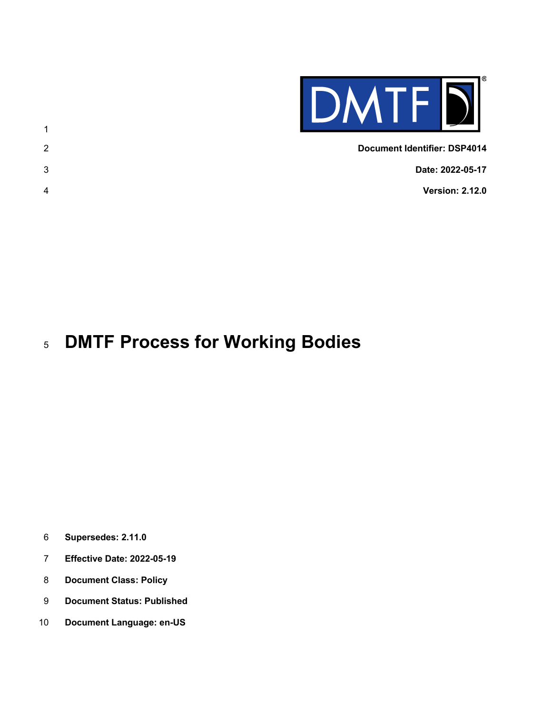

| <b>Document Identifier: DSP4014</b> | 2 |
|-------------------------------------|---|
| Date: 2022-05-17                    | 3 |
| <b>Version: 2.12.0</b>              | 4 |
|                                     |   |

# **DMTF Process for Working Bodies**

**Supersedes: 2.11.0**

- **Effective Date: 2022-05-19**
- **Document Class: Policy**
- **Document Status: Published**
- **Document Language: en-US**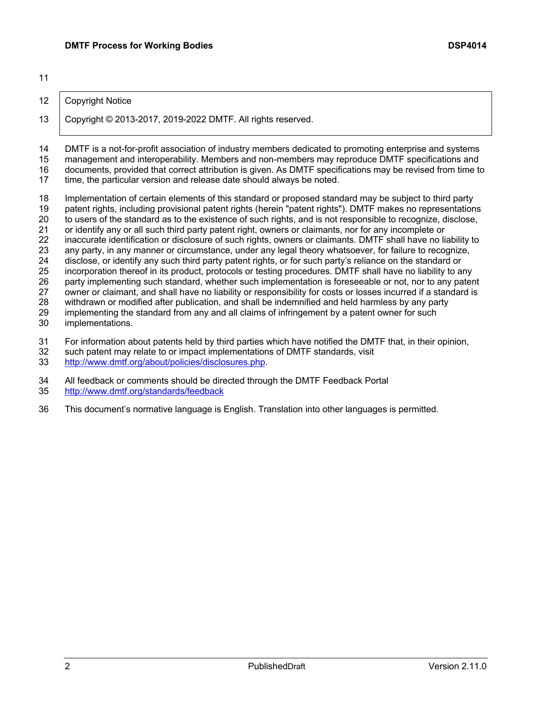#### 12 | Copyright Notice

Copyright © 2013-2017, 2019-2022 DMTF. All rights reserved.

 DMTF is a not-for-profit association of industry members dedicated to promoting enterprise and systems management and interoperability. Members and non-members may reproduce DMTF specifications and 16 documents, provided that correct attribution is given. As DMTF specifications may be revised from time to 17 time. the particular version and release date should always be noted. time, the particular version and release date should always be noted.

 Implementation of certain elements of this standard or proposed standard may be subject to third party patent rights, including provisional patent rights (herein "patent rights"). DMTF makes no representations to users of the standard as to the existence of such rights, and is not responsible to recognize, disclose, or identify any or all such third party patent right, owners or claimants, nor for any incomplete or inaccurate identification or disclosure of such rights, owners or claimants. DMTF shall have no liability to any party, in any manner or circumstance, under any legal theory whatsoever, for failure to recognize, disclose, or identify any such third party patent rights, or for such party's reliance on the standard or incorporation thereof in its product, protocols or testing procedures. DMTF shall have no liability to any party implementing such standard, whether such implementation is foreseeable or not, nor to any patent owner or claimant, and shall have no liability or responsibility for costs or losses incurred if a standard is 28 withdrawn or modified after publication, and shall be indemnified and held harmless by any party<br>29 implementing the standard from any and all claims of infringement by a patent owner for such implementing the standard from any and all claims of infringement by a patent owner for such implementations. 31 For information about patents held by third parties which have notified the DMTF that, in their opinion, 32 such patent may relate to or impact implementations of DMTF standards, visit

such patent may relate to or impact implementations of DMTF standards, visit

http://www.dmtf.org/about/policies/disclosures.php.

All feedback or comments should be directed through the DMTF Feedback Portal

- http://www.dmtf.org/standards/feedback
- This document's normative language is English. Translation into other languages is permitted.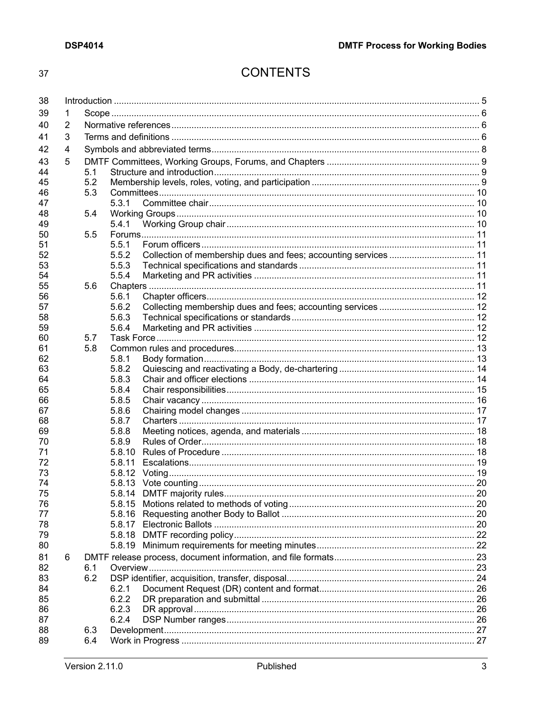# **CONTENTS**

| 38       |   |     |        |                                                                 |  |
|----------|---|-----|--------|-----------------------------------------------------------------|--|
| 39       | 1 |     |        |                                                                 |  |
| 40       | 2 |     |        |                                                                 |  |
| 41       | 3 |     |        |                                                                 |  |
| 42       | 4 |     |        |                                                                 |  |
|          |   |     |        |                                                                 |  |
| 43       | 5 |     |        |                                                                 |  |
| 44       |   | 5.1 |        |                                                                 |  |
| 45       |   | 5.2 |        |                                                                 |  |
| 46       |   | 5.3 |        |                                                                 |  |
| 47       |   |     | 5.3.1  |                                                                 |  |
| 48       |   | 5.4 |        |                                                                 |  |
| 49       |   |     | 5.4.1  |                                                                 |  |
| 50<br>51 |   | 5.5 | 5.5.1  |                                                                 |  |
| 52       |   |     | 5.5.2  | Collection of membership dues and fees; accounting services  11 |  |
| 53       |   |     | 5.5.3  |                                                                 |  |
| 54       |   |     | 5.5.4  |                                                                 |  |
|          |   |     |        |                                                                 |  |
| 55<br>56 |   | 5.6 | 5.6.1  |                                                                 |  |
| 57       |   |     | 5.6.2  |                                                                 |  |
| 58       |   |     | 5.6.3  |                                                                 |  |
| 59       |   |     | 5.6.4  |                                                                 |  |
| 60       |   | 5.7 |        |                                                                 |  |
| 61       |   | 5.8 |        |                                                                 |  |
| 62       |   |     | 5.8.1  |                                                                 |  |
| 63       |   |     | 5.8.2  |                                                                 |  |
| 64       |   |     | 5.8.3  |                                                                 |  |
| 65       |   |     | 5.8.4  |                                                                 |  |
| 66       |   |     | 5.8.5  |                                                                 |  |
| 67       |   |     | 5.8.6  |                                                                 |  |
| 68       |   |     | 5.8.7  |                                                                 |  |
| 69       |   |     | 5.8.8  |                                                                 |  |
| 70       |   |     | 5.8.9  |                                                                 |  |
| 71       |   |     | 5.8.10 |                                                                 |  |
| 72       |   |     | 5.8.11 |                                                                 |  |
| 73       |   |     |        |                                                                 |  |
| 74       |   |     |        |                                                                 |  |
| 75       |   |     |        |                                                                 |  |
| 76       |   |     |        |                                                                 |  |
| 77       |   |     |        |                                                                 |  |
| 78       |   |     |        |                                                                 |  |
| 79       |   |     |        |                                                                 |  |
| 80       |   |     |        |                                                                 |  |
| 81       | 6 |     |        |                                                                 |  |
| 82       |   | 6.1 |        |                                                                 |  |
| 83       |   | 6.2 |        |                                                                 |  |
| 84       |   |     | 6.2.1  |                                                                 |  |
| 85       |   |     | 6.2.2  |                                                                 |  |
| 86       |   |     | 6.2.3  |                                                                 |  |
| 87       |   |     | 6.2.4  |                                                                 |  |
| 88       |   | 6.3 |        |                                                                 |  |
| 89       |   | 6.4 |        |                                                                 |  |
|          |   |     |        |                                                                 |  |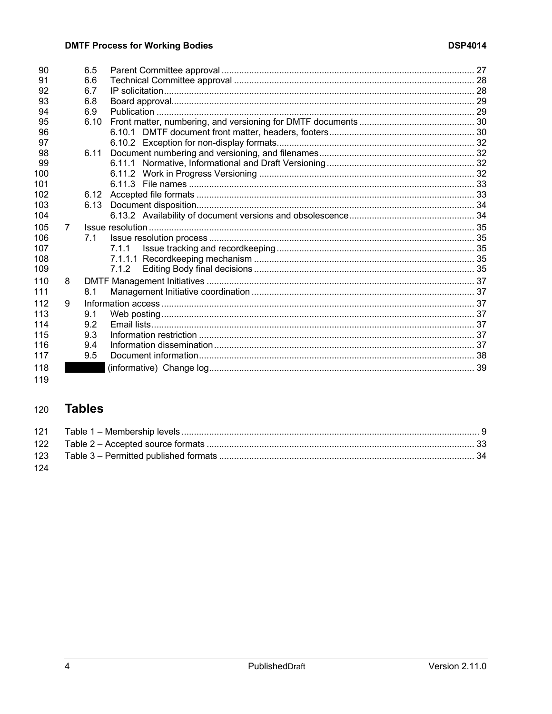| 90  |   | 6.5  |         |  |
|-----|---|------|---------|--|
| 91  |   | 6.6  |         |  |
| 92  |   | 6.7  |         |  |
| 93  |   | 6.8  |         |  |
| 94  |   | 6.9  |         |  |
| 95  |   | 6.10 |         |  |
| 96  |   |      |         |  |
| 97  |   |      |         |  |
| 98  |   | 6.11 |         |  |
| -99 |   |      |         |  |
| 100 |   |      |         |  |
| 101 |   |      |         |  |
| 102 |   | 6.12 |         |  |
| 103 |   | 6.13 |         |  |
| 104 |   |      |         |  |
| 105 | 7 |      |         |  |
| 106 |   | 7.1  |         |  |
| 107 |   |      | 7.1.1   |  |
| 108 |   |      | 7.1.1.1 |  |
| 109 |   |      | 7.1.2   |  |
| 110 | 8 |      |         |  |
| 111 |   | 8.1  |         |  |
| 112 | 9 |      |         |  |
| 113 |   | 9.1  |         |  |
| 114 |   | 9.2  |         |  |
| 115 |   | 9.3  |         |  |
| 116 |   | 9.4  |         |  |
| 117 |   | 9.5  |         |  |
| 118 |   |      |         |  |
|     |   |      |         |  |

#### **Tables** 120

| 123 |  |
|-----|--|
| 124 |  |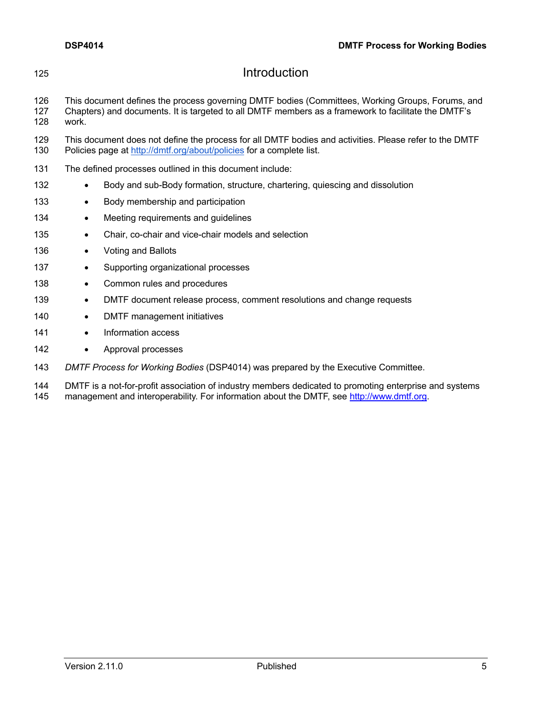| 125               | Introduction                                                                                                                                                                                                     |  |  |  |
|-------------------|------------------------------------------------------------------------------------------------------------------------------------------------------------------------------------------------------------------|--|--|--|
| 126<br>127<br>128 | This document defines the process governing DMTF bodies (Committees, Working Groups, Forums, and<br>Chapters) and documents. It is targeted to all DMTF members as a framework to facilitate the DMTF's<br>work. |  |  |  |
| 129<br>130        | This document does not define the process for all DMTF bodies and activities. Please refer to the DMTF<br>Policies page at http://dmtf.org/about/policies for a complete list.                                   |  |  |  |
| 131               | The defined processes outlined in this document include:                                                                                                                                                         |  |  |  |
| 132               | Body and sub-Body formation, structure, chartering, quiescing and dissolution<br>$\bullet$                                                                                                                       |  |  |  |
| 133               | Body membership and participation<br>$\bullet$                                                                                                                                                                   |  |  |  |
| 134               | Meeting requirements and guidelines<br>$\bullet$                                                                                                                                                                 |  |  |  |
| 135               | Chair, co-chair and vice-chair models and selection<br>$\bullet$                                                                                                                                                 |  |  |  |
| 136               | Voting and Ballots<br>$\bullet$                                                                                                                                                                                  |  |  |  |
| 137               | Supporting organizational processes<br>$\bullet$                                                                                                                                                                 |  |  |  |
| 138               | Common rules and procedures<br>$\bullet$                                                                                                                                                                         |  |  |  |
| 139               | DMTF document release process, comment resolutions and change requests<br>$\bullet$                                                                                                                              |  |  |  |
| 140               | DMTF management initiatives<br>$\bullet$                                                                                                                                                                         |  |  |  |
| 141               | Information access<br>$\bullet$                                                                                                                                                                                  |  |  |  |
| 142               | Approval processes<br>$\bullet$                                                                                                                                                                                  |  |  |  |
| 143               | DMTF Process for Working Bodies (DSP4014) was prepared by the Executive Committee.                                                                                                                               |  |  |  |

144 DMTF is a not-for-profit association of industry members dedicated to promoting enterprise and systems 145 management and interoperability. For information about the DMTF, see http://www.dmtf.org.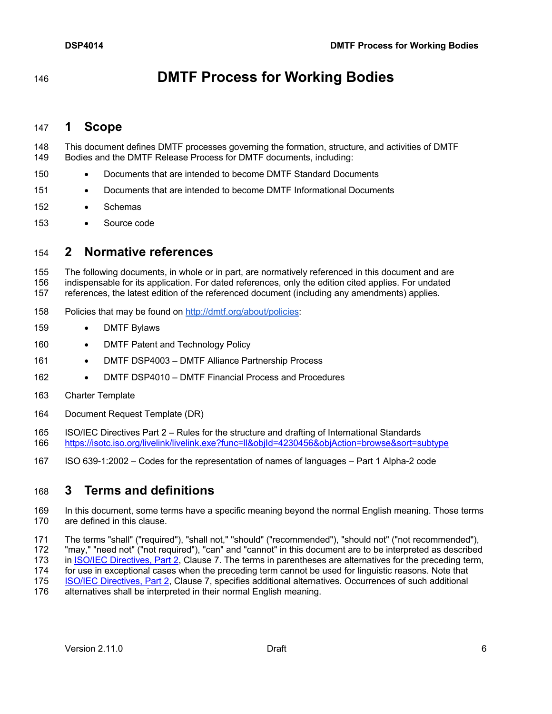**DMTF Process for Working Bodies**

### **1 Scope**

- This document defines DMTF processes governing the formation, structure, and activities of DMTF Bodies and the DMTF Release Process for DMTF documents, including:
- Documents that are intended to become DMTF Standard Documents
- Documents that are intended to become DMTF Informational Documents
- Schemas
- Source code

## **2 Normative references**

 The following documents, in whole or in part, are normatively referenced in this document and are indispensable for its application. For dated references, only the edition cited applies. For undated references, the latest edition of the referenced document (including any amendments) applies.

- 158 Policies that may be found on http://dmtf.org/about/policies:
- DMTF Bylaws
- 160 DMTF Patent and Technology Policy
- 161 DMTF DSP4003 DMTF Alliance Partnership Process
- 162 DMTF DSP4010 DMTF Financial Process and Procedures
- Charter Template
- Document Request Template (DR)
- ISO/IEC Directives Part 2 Rules for the structure and drafting of International Standards https://isotc.iso.org/livelink/livelink.exe?func=ll&objId=4230456&objAction=browse&sort=subtype
- ISO 639-1:2002 Codes for the representation of names of languages Part 1 Alpha-2 code

## **3 Terms and definitions**

- In this document, some terms have a specific meaning beyond the normal English meaning. Those terms are defined in this clause.
- The terms "shall" ("required"), "shall not," "should" ("recommended"), "should not" ("not recommended"), "may," "need not" ("not required"), "can" and "cannot" in this document are to be interpreted as described 173 in ISO/IEC Directives, Part 2, Clause 7. The terms in parentheses are alternatives for the preceding term,
- for use in exceptional cases when the preceding term cannot be used for linguistic reasons. Note that ISO/IEC Directives, Part 2, Clause 7, specifies additional alternatives. Occurrences of such additional
- alternatives shall be interpreted in their normal English meaning.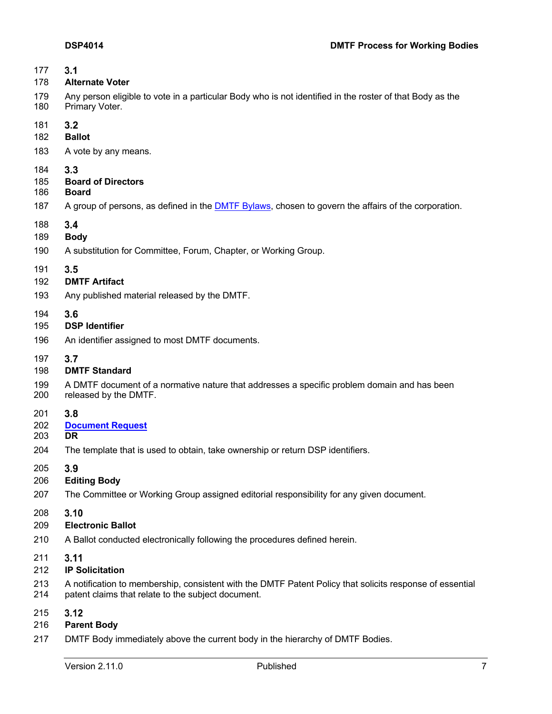| 177 | 3.1                                                                                                         |
|-----|-------------------------------------------------------------------------------------------------------------|
| 178 | <b>Alternate Voter</b>                                                                                      |
| 179 | Any person eligible to vote in a particular Body who is not identified in the roster of that Body as the    |
| 180 | Primary Voter.                                                                                              |
| 181 | 3.2                                                                                                         |
| 182 | <b>Ballot</b>                                                                                               |
| 183 | A vote by any means.                                                                                        |
| 184 | 3.3                                                                                                         |
| 185 | <b>Board of Directors</b>                                                                                   |
| 186 | <b>Board</b>                                                                                                |
| 187 | A group of persons, as defined in the <b>DMTF Bylaws</b> , chosen to govern the affairs of the corporation. |
| 188 | 3.4                                                                                                         |
| 189 | <b>Body</b>                                                                                                 |
| 190 | A substitution for Committee, Forum, Chapter, or Working Group.                                             |
| 191 | 3.5                                                                                                         |
| 192 | <b>DMTF Artifact</b>                                                                                        |
| 193 | Any published material released by the DMTF.                                                                |
| 194 | 3.6                                                                                                         |
| 195 | <b>DSP Identifier</b>                                                                                       |
| 196 | An identifier assigned to most DMTF documents.                                                              |
| 197 | 3.7                                                                                                         |
| 198 | <b>DMTF Standard</b>                                                                                        |
| 199 | A DMTF document of a normative nature that addresses a specific problem domain and has been                 |
| 200 | released by the DMTF.                                                                                       |
| 201 | 3.8                                                                                                         |
| 202 | <b>Document Request</b>                                                                                     |
| 203 | <b>DR</b>                                                                                                   |
| 204 | The template that is used to obtain, take ownership or return DSP identifiers.                              |
| 205 | 3.9                                                                                                         |
| 206 | <b>Editing Body</b>                                                                                         |
| 207 | The Committee or Working Group assigned editorial responsibility for any given document.                    |
| 208 | 3.10                                                                                                        |
| 209 | <b>Electronic Ballot</b>                                                                                    |
| 210 | A Ballot conducted electronically following the procedures defined herein.                                  |
| 211 | 3.11                                                                                                        |
| 212 | <b>IP Solicitation</b>                                                                                      |
| 213 | A notification to membership, consistent with the DMTF Patent Policy that solicits response of essential    |
| 214 | patent claims that relate to the subject document.                                                          |
| 215 | 3.12                                                                                                        |
| 216 | <b>Parent Body</b>                                                                                          |

DMTF Body immediately above the current body in the hierarchy of DMTF Bodies.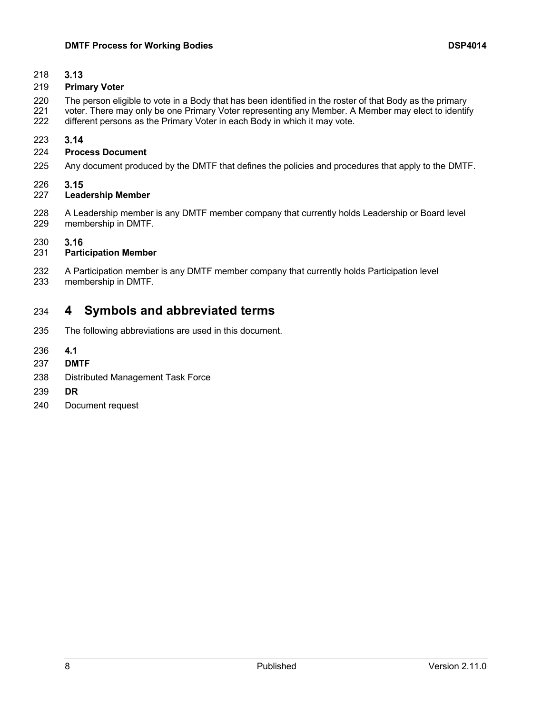$3.13$ 

#### **Primary Voter**

- The person eligible to vote in a Body that has been identified in the roster of that Body as the primary
- voter. There may only be one Primary Voter representing any Member. A Member may elect to identify different persons as the Primary Voter in each Body in which it may vote.

#### $3.14$

#### **Process Document**

Any document produced by the DMTF that defines the policies and procedures that apply to the DMTF.

#### 226<br>227  $3.15$

#### **Leadership Member**

 A Leadership member is any DMTF member company that currently holds Leadership or Board level membership in DMTF.

#### $3.16$

#### **Participation Member**

 A Participation member is any DMTF member company that currently holds Participation level membership in DMTF.

## **4 Symbols and abbreviated terms**

- The following abbreviations are used in this document.
- **4.1**
- **DMTF**
- Distributed Management Task Force
- **DR**
- Document request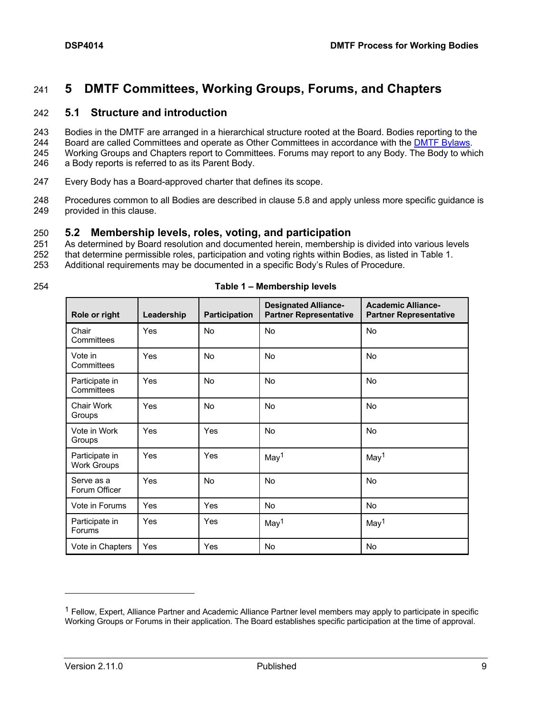# 241 **5 DMTF Committees, Working Groups, Forums, and Chapters**

#### 242 **5.1 Structure and introduction**

- 243 Bodies in the DMTF are arranged in a hierarchical structure rooted at the Board. Bodies reporting to the
- 244 Board are called Committees and operate as Other Committees in accordance with the DMTF Bylaws.
- 245 Working Groups and Chapters report to Committees. Forums may report to any Body. The Body to which
- 246 a Body reports is referred to as its Parent Body.
- 247 Every Body has a Board-approved charter that defines its scope.
- 248 Procedures common to all Bodies are described in clause 5.8 and apply unless more specific guidance is 249 provided in this clause.

#### 250 **5.2 Membership levels, roles, voting, and participation**

- 251 As determined by Board resolution and documented herein, membership is divided into various levels
- 252 that determine permissible roles, participation and voting rights within Bodies, as listed in Table 1.
- 253 Additional requirements may be documented in a specific Body's Rules of Procedure.
- 

| 254 | Table 1 - Membership levels |
|-----|-----------------------------|
|-----|-----------------------------|

| Role or right                        | Leadership | <b>Participation</b> | <b>Designated Alliance-</b><br><b>Partner Representative</b> | <b>Academic Alliance-</b><br><b>Partner Representative</b> |
|--------------------------------------|------------|----------------------|--------------------------------------------------------------|------------------------------------------------------------|
| Chair<br>Committees                  | Yes        | <b>No</b>            | No                                                           | <b>No</b>                                                  |
| Vote in<br>Committees                | Yes        | <b>No</b>            | No                                                           | No                                                         |
| Participate in<br>Committees         | Yes        | <b>No</b>            | <b>No</b>                                                    | <b>No</b>                                                  |
| Chair Work<br>Groups                 | Yes        | <b>No</b>            | <b>No</b>                                                    | <b>No</b>                                                  |
| Vote in Work<br>Groups               | Yes        | Yes                  | No                                                           | <b>No</b>                                                  |
| Participate in<br><b>Work Groups</b> | <b>Yes</b> | Yes                  | May <sup>1</sup>                                             | May <sup>1</sup>                                           |
| Serve as a<br>Forum Officer          | Yes        | <b>No</b>            | <b>No</b>                                                    | <b>No</b>                                                  |
| Vote in Forums                       | Yes        | Yes                  | <b>No</b>                                                    | <b>No</b>                                                  |
| Participate in<br>Forums             | Yes        | Yes                  | May <sup>1</sup>                                             | May <sup>1</sup>                                           |
| Vote in Chapters                     | Yes        | Yes                  | <b>No</b>                                                    | <b>No</b>                                                  |

 $1$  Fellow, Expert, Alliance Partner and Academic Alliance Partner level members may apply to participate in specific Working Groups or Forums in their application. The Board establishes specific participation at the time of approval.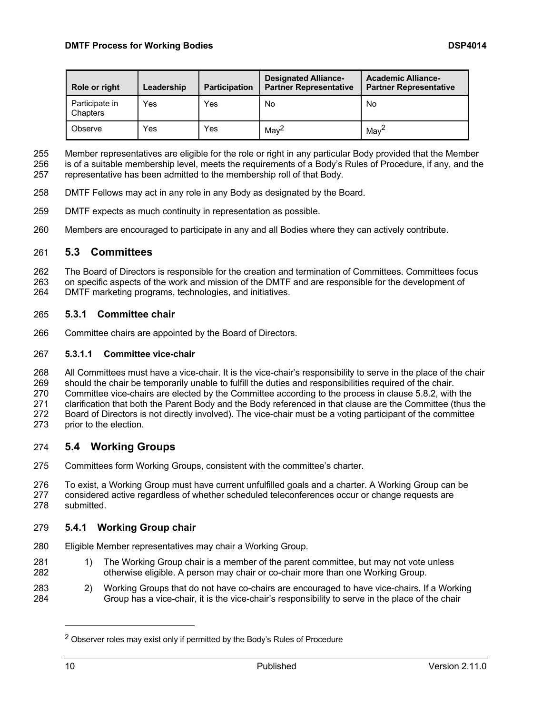| Role or right              | Leadership | <b>Participation</b> | <b>Designated Alliance-</b><br><b>Partner Representative</b> | <b>Academic Alliance-</b><br><b>Partner Representative</b> |
|----------------------------|------------|----------------------|--------------------------------------------------------------|------------------------------------------------------------|
| Participate in<br>Chapters | Yes        | Yes                  | No                                                           | No                                                         |
| Observe                    | Yes        | Yes                  | $M$ ay <sup>2</sup>                                          | Mav <sup>4</sup>                                           |

Member representatives are eligible for the role or right in any particular Body provided that the Member

is of a suitable membership level, meets the requirements of a Body's Rules of Procedure, if any, and the

representative has been admitted to the membership roll of that Body.

- DMTF Fellows may act in any role in any Body as designated by the Board.
- DMTF expects as much continuity in representation as possible.
- Members are encouraged to participate in any and all Bodies where they can actively contribute.

#### **5.3 Committees**

The Board of Directors is responsible for the creation and termination of Committees. Committees focus

 on specific aspects of the work and mission of the DMTF and are responsible for the development of DMTF marketing programs, technologies, and initiatives.

#### **5.3.1 Committee chair**

Committee chairs are appointed by the Board of Directors.

#### **5.3.1.1 Committee vice-chair**

 All Committees must have a vice-chair. It is the vice-chair's responsibility to serve in the place of the chair should the chair be temporarily unable to fulfill the duties and responsibilities required of the chair. Committee vice-chairs are elected by the Committee according to the process in clause 5.8.2, with the clarification that both the Parent Body and the Body referenced in that clause are the Committee (thus the Board of Directors is not directly involved). The vice-chair must be a voting participant of the committee prior to the election.

#### **5.4 Working Groups**

- Committees form Working Groups, consistent with the committee's charter.
- To exist, a Working Group must have current unfulfilled goals and a charter. A Working Group can be considered active regardless of whether scheduled teleconferences occur or change requests are submitted.

#### **5.4.1 Working Group chair**

- Eligible Member representatives may chair a Working Group.
- 281 1) The Working Group chair is a member of the parent committee, but may not vote unless otherwise eligible. A person may chair or co-chair more than one Working Group.
- 2) Working Groups that do not have co-chairs are encouraged to have vice-chairs. If a Working Group has a vice-chair, it is the vice-chair's responsibility to serve in the place of the chair

<sup>&</sup>lt;sup>2</sup> Observer roles may exist only if permitted by the Body's Rules of Procedure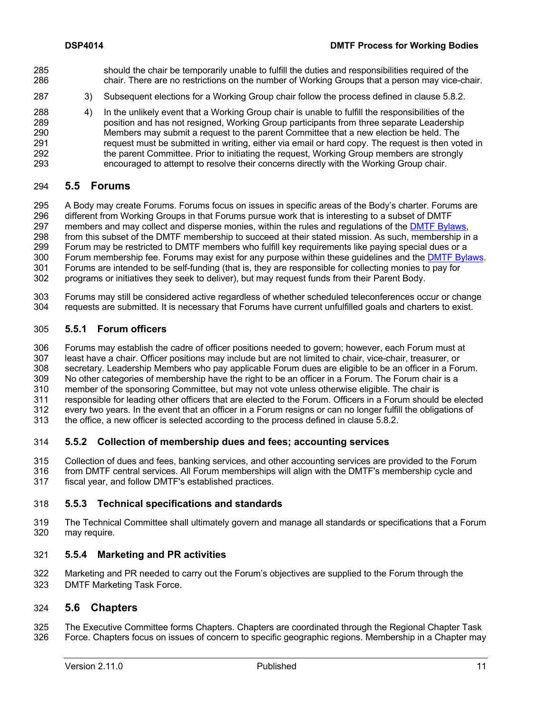- should the chair be temporarily unable to fulfill the duties and responsibilities required of the chair. There are no restrictions on the number of Working Groups that a person may vice-chair.
- 3) Subsequent elections for a Working Group chair follow the process defined in clause 5.8.2.
- 4) In the unlikely event that a Working Group chair is unable to fulfill the responsibilities of the position and has not resigned, Working Group participants from three separate Leadership Members may submit a request to the parent Committee that a new election be held. The request must be submitted in writing, either via email or hard copy. The request is then voted in the parent Committee. Prior to initiating the request, Working Group members are strongly encouraged to attempt to resolve their concerns directly with the Working Group chair.

#### **5.5 Forums**

 A Body may create Forums. Forums focus on issues in specific areas of the Body's charter. Forums are different from Working Groups in that Forums pursue work that is interesting to a subset of DMTF members and may collect and disperse monies, within the rules and regulations of the DMTF Bylaws, from this subset of the DMTF membership to succeed at their stated mission. As such, membership in a Forum may be restricted to DMTF members who fulfill key requirements like paying special dues or a 300 Forum membership fee. Forums may exist for any purpose within these guidelines and the **DMTF Bylaws**. Forums are intended to be self-funding (that is, they are responsible for collecting monies to pay for

- programs or initiatives they seek to deliver), but may request funds from their Parent Body.
- Forums may still be considered active regardless of whether scheduled teleconferences occur or change requests are submitted. It is necessary that Forums have current unfulfilled goals and charters to exist.

#### **5.5.1 Forum officers**

Forums may establish the cadre of officer positions needed to govern; however, each Forum must at

- least have a chair. Officer positions may include but are not limited to chair, vice-chair, treasurer, or
- secretary. Leadership Members who pay applicable Forum dues are eligible to be an officer in a Forum.
- No other categories of membership have the right to be an officer in a Forum. The Forum chair is a
- member of the sponsoring Committee, but may not vote unless otherwise eligible. The chair is
- responsible for leading other officers that are elected to the Forum. Officers in a Forum should be elected every two years. In the event that an officer in a Forum resigns or can no longer fulfill the obligations of
- the office, a new officer is selected according to the process defined in clause 5.8.2.

#### **5.5.2 Collection of membership dues and fees; accounting services**

- Collection of dues and fees, banking services, and other accounting services are provided to the Forum
- from DMTF central services. All Forum memberships will align with the DMTF's membership cycle and fiscal year, and follow DMTF's established practices.

#### **5.5.3 Technical specifications and standards**

 The Technical Committee shall ultimately govern and manage all standards or specifications that a Forum may require.

#### **5.5.4 Marketing and PR activities**

 Marketing and PR needed to carry out the Forum's objectives are supplied to the Forum through the DMTF Marketing Task Force.

#### **5.6 Chapters**

 The Executive Committee forms Chapters. Chapters are coordinated through the Regional Chapter Task Force. Chapters focus on issues of concern to specific geographic regions. Membership in a Chapter may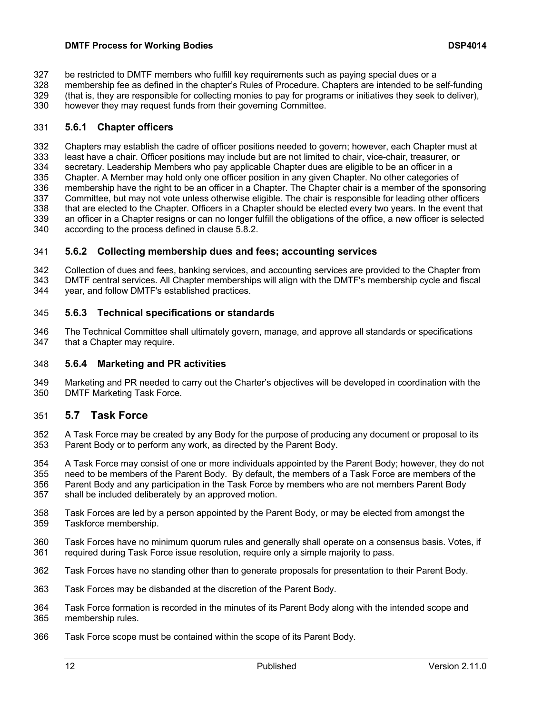- be restricted to DMTF members who fulfill key requirements such as paying special dues or a
- membership fee as defined in the chapter's Rules of Procedure. Chapters are intended to be self-funding
- (that is, they are responsible for collecting monies to pay for programs or initiatives they seek to deliver),
- however they may request funds from their governing Committee.

#### **5.6.1 Chapter officers**

 Chapters may establish the cadre of officer positions needed to govern; however, each Chapter must at least have a chair. Officer positions may include but are not limited to chair, vice-chair, treasurer, or secretary. Leadership Members who pay applicable Chapter dues are eligible to be an officer in a Chapter. A Member may hold only one officer position in any given Chapter. No other categories of 336 membership have the right to be an officer in a Chapter. The Chapter chair is a member of the sponsoring<br>337 Committee, but may not vote unless otherwise eligible. The chair is responsible for leading other officers 337 Committee, but may not vote unless otherwise eligible. The chair is responsible for leading other officers<br>338 that are elected to the Chapter. Officers in a Chapter should be elected every two years. In the event that that are elected to the Chapter. Officers in a Chapter should be elected every two years. In the event that an officer in a Chapter resigns or can no longer fulfill the obligations of the office, a new officer is selected according to the process defined in clause 5.8.2.

#### **5.6.2 Collecting membership dues and fees; accounting services**

 Collection of dues and fees, banking services, and accounting services are provided to the Chapter from DMTF central services. All Chapter memberships will align with the DMTF's membership cycle and fiscal year, and follow DMTF's established practices.

#### **5.6.3 Technical specifications or standards**

346 The Technical Committee shall ultimately govern, manage, and approve all standards or specifications 347 that a Chapter may require. that a Chapter may require.

#### **5.6.4 Marketing and PR activities**

 Marketing and PR needed to carry out the Charter's objectives will be developed in coordination with the DMTF Marketing Task Force.

#### **5.7 Task Force**

- A Task Force may be created by any Body for the purpose of producing any document or proposal to its Parent Body or to perform any work, as directed by the Parent Body.
- A Task Force may consist of one or more individuals appointed by the Parent Body; however, they do not need to be members of the Parent Body. By default, the members of a Task Force are members of the Parent Body and any participation in the Task Force by members who are not members Parent Body shall be included deliberately by an approved motion.
- Task Forces are led by a person appointed by the Parent Body, or may be elected from amongst the Taskforce membership.
- Task Forces have no minimum quorum rules and generally shall operate on a consensus basis. Votes, if required during Task Force issue resolution, require only a simple majority to pass.
- Task Forces have no standing other than to generate proposals for presentation to their Parent Body.
- Task Forces may be disbanded at the discretion of the Parent Body.
- Task Force formation is recorded in the minutes of its Parent Body along with the intended scope and membership rules.
- Task Force scope must be contained within the scope of its Parent Body.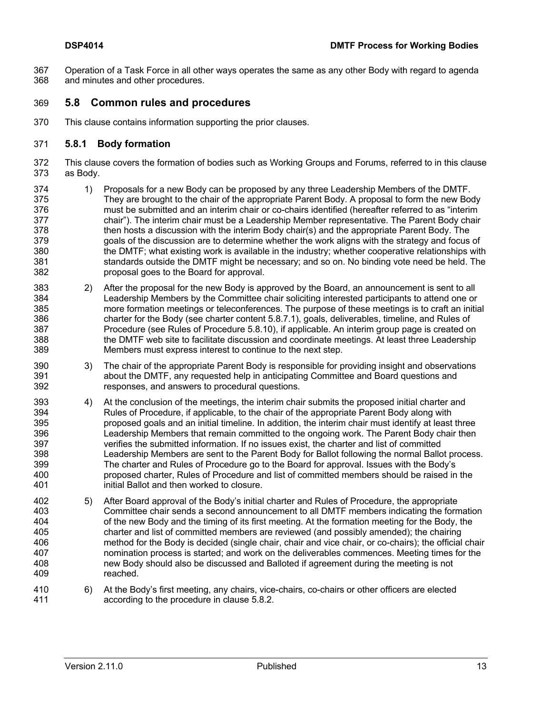Operation of a Task Force in all other ways operates the same as any other Body with regard to agenda and minutes and other procedures.

#### **5.8 Common rules and procedures**

This clause contains information supporting the prior clauses.

#### **5.8.1 Body formation**

- This clause covers the formation of bodies such as Working Groups and Forums, referred to in this clause as Body.
- 374 1) Proposals for a new Body can be proposed by any three Leadership Members of the DMTF.<br>375 They are brought to the chair of the appropriate Parent Body. A proposal to form the new Boor They are brought to the chair of the appropriate Parent Body. A proposal to form the new Body must be submitted and an interim chair or co-chairs identified (hereafter referred to as "interim chair"). The interim chair must be a Leadership Member representative. The Parent Body chair then hosts a discussion with the interim Body chair(s) and the appropriate Parent Body. The goals of the discussion are to determine whether the work aligns with the strategy and focus of the DMTF; what existing work is available in the industry; whether cooperative relationships with standards outside the DMTF might be necessary; and so on. No binding vote need be held. The proposal goes to the Board for approval.
- 2) After the proposal for the new Body is approved by the Board, an announcement is sent to all Leadership Members by the Committee chair soliciting interested participants to attend one or more formation meetings or teleconferences. The purpose of these meetings is to craft an initial charter for the Body (see charter content 5.8.7.1), goals, deliverables, timeline, and Rules of Procedure (see Rules of Procedure 5.8.10), if applicable. An interim group page is created on the DMTF web site to facilitate discussion and coordinate meetings. At least three Leadership Members must express interest to continue to the next step.
- 3) The chair of the appropriate Parent Body is responsible for providing insight and observations about the DMTF, any requested help in anticipating Committee and Board questions and responses, and answers to procedural questions.
- 4) At the conclusion of the meetings, the interim chair submits the proposed initial charter and Rules of Procedure, if applicable, to the chair of the appropriate Parent Body along with proposed goals and an initial timeline. In addition, the interim chair must identify at least three Leadership Members that remain committed to the ongoing work. The Parent Body chair then verifies the submitted information. If no issues exist, the charter and list of committed Leadership Members are sent to the Parent Body for Ballot following the normal Ballot process. The charter and Rules of Procedure go to the Board for approval. Issues with the Body's proposed charter, Rules of Procedure and list of committed members should be raised in the initial Ballot and then worked to closure.
- 5) After Board approval of the Body's initial charter and Rules of Procedure, the appropriate Committee chair sends a second announcement to all DMTF members indicating the formation of the new Body and the timing of its first meeting. At the formation meeting for the Body, the charter and list of committed members are reviewed (and possibly amended); the chairing method for the Body is decided (single chair, chair and vice chair, or co-chairs); the official chair nomination process is started; and work on the deliverables commences. Meeting times for the new Body should also be discussed and Balloted if agreement during the meeting is not reached.
- 6) At the Body's first meeting, any chairs, vice-chairs, co-chairs or other officers are elected according to the procedure in clause 5.8.2.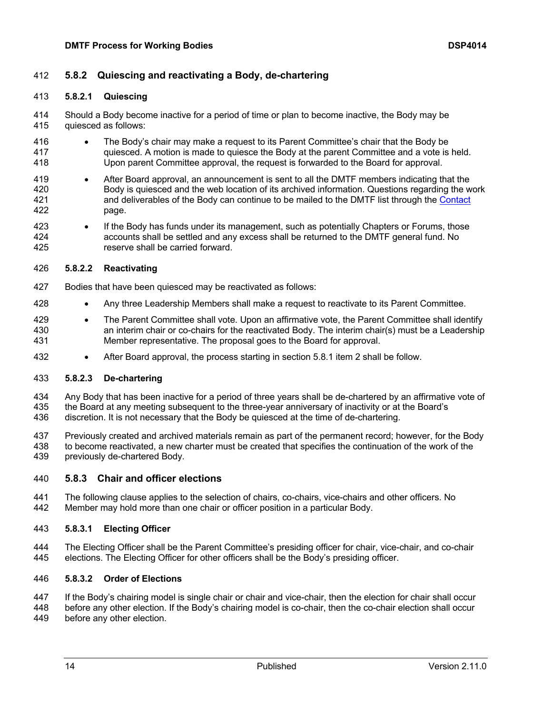#### **DMTF Process for Working Bodies DSP4014**

#### **5.8.2 Quiescing and reactivating a Body, de-chartering**

#### **5.8.2.1 Quiescing**

 Should a Body become inactive for a period of time or plan to become inactive, the Body may be quiesced as follows:

- The Body's chair may make a request to its Parent Committee's chair that the Body be quiesced. A motion is made to quiesce the Body at the parent Committee and a vote is held. Upon parent Committee approval, the request is forwarded to the Board for approval.
- After Board approval, an announcement is sent to all the DMTF members indicating that the Body is quiesced and the web location of its archived information. Questions regarding the work and deliverables of the Body can continue to be mailed to the DMTF list through the Contact page.
- If the Body has funds under its management, such as potentially Chapters or Forums, those accounts shall be settled and any excess shall be returned to the DMTF general fund. No reserve shall be carried forward.

#### **5.8.2.2 Reactivating**

- Bodies that have been quiesced may be reactivated as follows:
- Any three Leadership Members shall make a request to reactivate to its Parent Committee.
- 429 The Parent Committee shall vote. Upon an affirmative vote, the Parent Committee shall identify an interim chair or co-chairs for the reactivated Body. The interim chair(s) must be a Leadership Member representative. The proposal goes to the Board for approval.
- 432 After Board approval, the process starting in section 5.8.1 item 2 shall be follow.

#### **5.8.2.3 De-chartering**

 Any Body that has been inactive for a period of three years shall be de-chartered by an affirmative vote of the Board at any meeting subsequent to the three-year anniversary of inactivity or at the Board's discretion. It is not necessary that the Body be quiesced at the time of de-chartering.

 Previously created and archived materials remain as part of the permanent record; however, for the Body to become reactivated, a new charter must be created that specifies the continuation of the work of the previously de-chartered Body.

#### **5.8.3 Chair and officer elections**

 The following clause applies to the selection of chairs, co-chairs, vice-chairs and other officers. No Member may hold more than one chair or officer position in a particular Body.

#### **5.8.3.1 Electing Officer**

 The Electing Officer shall be the Parent Committee's presiding officer for chair, vice-chair, and co-chair elections. The Electing Officer for other officers shall be the Body's presiding officer.

#### **5.8.3.2 Order of Elections**

 If the Body's chairing model is single chair or chair and vice-chair, then the election for chair shall occur before any other election. If the Body's chairing model is co-chair, then the co-chair election shall occur before any other election.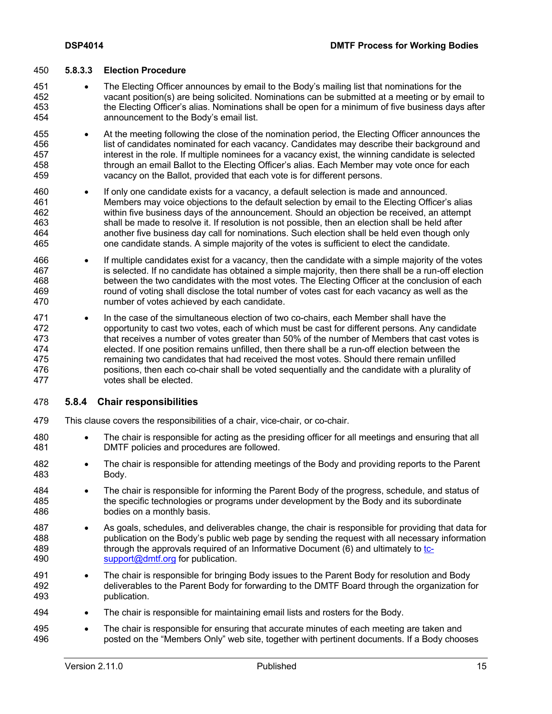#### **5.8.3.3 Election Procedure**

- The Electing Officer announces by email to the Body's mailing list that nominations for the vacant position(s) are being solicited. Nominations can be submitted at a meeting or by email to the Electing Officer's alias. Nominations shall be open for a minimum of five business days after announcement to the Body's email list.
- 455 At the meeting following the close of the nomination period, the Electing Officer announces the list of candidates nominated for each vacancy. Candidates may describe their background and interest in the role. If multiple nominees for a vacancy exist, the winning candidate is selected through an email Ballot to the Electing Officer's alias. Each Member may vote once for each vacancy on the Ballot, provided that each vote is for different persons.
- If only one candidate exists for a vacancy, a default selection is made and announced. Members may voice objections to the default selection by email to the Electing Officer's alias within five business days of the announcement. Should an objection be received, an attempt shall be made to resolve it. If resolution is not possible, then an election shall be held after another five business day call for nominations. Such election shall be held even though only one candidate stands. A simple majority of the votes is sufficient to elect the candidate.
- If multiple candidates exist for a vacancy, then the candidate with a simple majority of the votes is selected. If no candidate has obtained a simple majority, then there shall be a run-off election between the two candidates with the most votes. The Electing Officer at the conclusion of each round of voting shall disclose the total number of votes cast for each vacancy as well as the number of votes achieved by each candidate.
- In the case of the simultaneous election of two co-chairs, each Member shall have the opportunity to cast two votes, each of which must be cast for different persons. Any candidate that receives a number of votes greater than 50% of the number of Members that cast votes is elected. If one position remains unfilled, then there shall be a run-off election between the remaining two candidates that had received the most votes. Should there remain unfilled positions, then each co-chair shall be voted sequentially and the candidate with a plurality of votes shall be elected.

#### **5.8.4 Chair responsibilities**

- This clause covers the responsibilities of a chair, vice-chair, or co-chair.
- The chair is responsible for acting as the presiding officer for all meetings and ensuring that all DMTF policies and procedures are followed.
- The chair is responsible for attending meetings of the Body and providing reports to the Parent Body.
- The chair is responsible for informing the Parent Body of the progress, schedule, and status of the specific technologies or programs under development by the Body and its subordinate bodies on a monthly basis.
- As goals, schedules, and deliverables change, the chair is responsible for providing that data for publication on the Body's public web page by sending the request with all necessary information through the approvals required of an Informative Document (6) and ultimately to tc-490 support@dmtf.org for publication.
- The chair is responsible for bringing Body issues to the Parent Body for resolution and Body deliverables to the Parent Body for forwarding to the DMTF Board through the organization for publication.
- The chair is responsible for maintaining email lists and rosters for the Body.
- The chair is responsible for ensuring that accurate minutes of each meeting are taken and posted on the "Members Only" web site, together with pertinent documents. If a Body choo posted on the "Members Only" web site, together with pertinent documents. If a Body chooses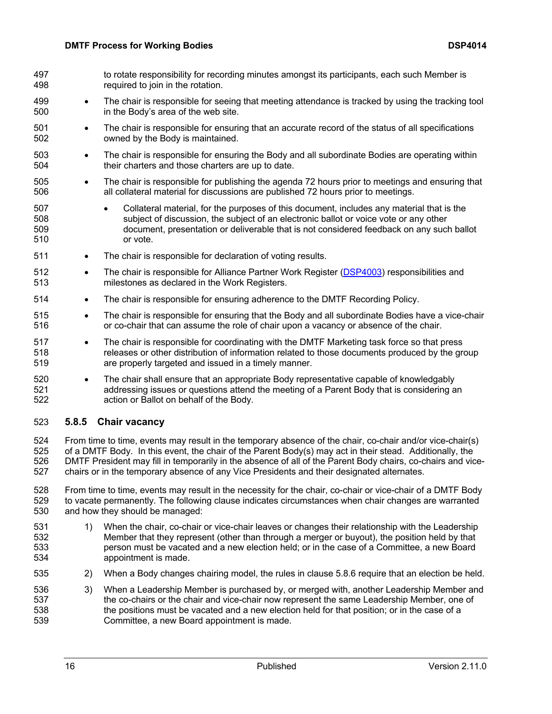| 497<br>498               |           | to rotate responsibility for recording minutes amongst its participants, each such Member is<br>required to join in the rotation.                                                                                                                                                                       |
|--------------------------|-----------|---------------------------------------------------------------------------------------------------------------------------------------------------------------------------------------------------------------------------------------------------------------------------------------------------------|
| 499<br>500               |           | The chair is responsible for seeing that meeting attendance is tracked by using the tracking tool<br>in the Body's area of the web site.                                                                                                                                                                |
| 501<br>502               |           | The chair is responsible for ensuring that an accurate record of the status of all specifications<br>owned by the Body is maintained.                                                                                                                                                                   |
| 503<br>504               |           | The chair is responsible for ensuring the Body and all subordinate Bodies are operating within<br>their charters and those charters are up to date.                                                                                                                                                     |
| 505<br>506               | $\bullet$ | The chair is responsible for publishing the agenda 72 hours prior to meetings and ensuring that<br>all collateral material for discussions are published 72 hours prior to meetings.                                                                                                                    |
| 507<br>508<br>509<br>510 |           | Collateral material, for the purposes of this document, includes any material that is the<br>$\bullet$<br>subject of discussion, the subject of an electronic ballot or voice vote or any other<br>document, presentation or deliverable that is not considered feedback on any such ballot<br>or vote. |
| 511                      | $\bullet$ | The chair is responsible for declaration of voting results.                                                                                                                                                                                                                                             |
| 512<br>513               | ٠         | The chair is responsible for Alliance Partner Work Register (DSP4003) responsibilities and<br>milestones as declared in the Work Registers.                                                                                                                                                             |
| 514                      | $\bullet$ | The chair is responsible for ensuring adherence to the DMTF Recording Policy.                                                                                                                                                                                                                           |
| 515<br>516               | $\bullet$ | The chair is responsible for ensuring that the Body and all subordinate Bodies have a vice-chair<br>or co-chair that can assume the role of chair upon a vacancy or absence of the chair.                                                                                                               |
| 517<br>518<br>519        | $\bullet$ | The chair is responsible for coordinating with the DMTF Marketing task force so that press<br>releases or other distribution of information related to those documents produced by the group<br>are properly targeted and issued in a timely manner.                                                    |
| 520<br>521<br>522        | ٠         | The chair shall ensure that an appropriate Body representative capable of knowledgably<br>addressing issues or questions attend the meeting of a Parent Body that is considering an<br>action or Ballot on behalf of the Body.                                                                          |
|                          |           |                                                                                                                                                                                                                                                                                                         |

## **5.8.5 Chair vacancy**

 From time to time, events may result in the temporary absence of the chair, co-chair and/or vice-chair(s) 525 of a DMTF Body. In this event, the chair of the Parent Body(s) may act in their stead. Additionally, the 526 DMTF President may fill in temporarily in the absence of all of the Parent Body chairs, co-chairs and vic DMTF President may fill in temporarily in the absence of all of the Parent Body chairs, co-chairs and vice-chairs or in the temporary absence of any Vice Presidents and their designated alternates.

528 From time to time, events may result in the necessity for the chair, co-chair or vice-chair of a DMTF Body<br>529 to vacate permanently. The following clause indicates circumstances when chair changes are warranted to vacate permanently. The following clause indicates circumstances when chair changes are warranted and how they should be managed:

- 1) When the chair, co-chair or vice-chair leaves or changes their relationship with the Leadership Member that they represent (other than through a merger or buyout), the position held by that person must be vacated and a new election held; or in the case of a Committee, a new Board appointment is made.
- 2) When a Body changes chairing model, the rules in clause 5.8.6 require that an election be held.
- 536 3) When a Leadership Member is purchased by, or merged with, another Leadership Member and<br>537 the co-chairs or the chair and vice-chair now represent the same Leadership Member, one of the co-chairs or the chair and vice-chair now represent the same Leadership Member, one of the positions must be vacated and a new election held for that position; or in the case of a Committee, a new Board appointment is made.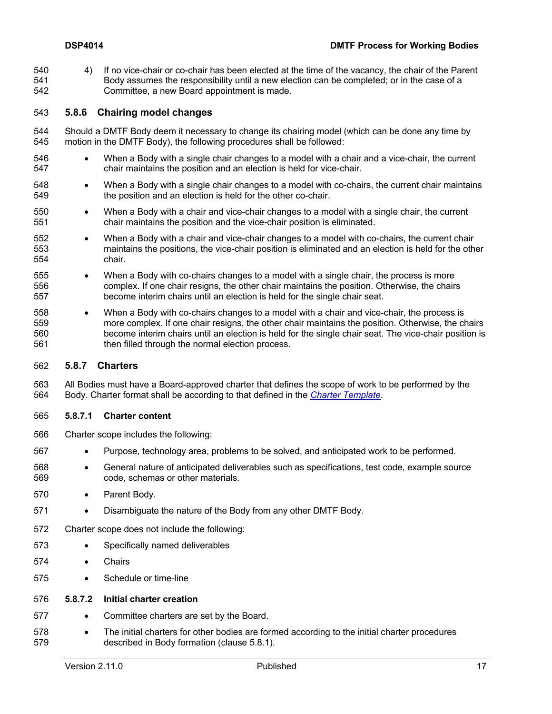4) If no vice-chair or co-chair has been elected at the time of the vacancy, the chair of the Parent Body assumes the responsibility until a new election can be completed; or in the case of a Committee, a new Board appointment is made.

#### **5.8.6 Chairing model changes**

- Should a DMTF Body deem it necessary to change its chairing model (which can be done any time by motion in the DMTF Body), the following procedures shall be followed:
- When a Body with a single chair changes to a model with a chair and a vice-chair, the current chair maintains the position and an election is held for vice-chair.
- When a Body with a single chair changes to a model with co-chairs, the current chair maintains the position and an election is held for the other co-chair.
- When a Body with a chair and vice-chair changes to a model with a single chair, the current chair maintains the position and the vice-chair position is eliminated.
- When a Body with a chair and vice-chair changes to a model with co-chairs, the current chair maintains the positions, the vice-chair position is eliminated and an election is held for the other chair.
- When a Body with co-chairs changes to a model with a single chair, the process is more complex. If one chair resigns, the other chair maintains the position. Otherwise, the chairs become interim chairs until an election is held for the single chair seat.
- When a Body with co-chairs changes to a model with a chair and vice-chair, the process is more complex. If one chair resigns, the other chair maintains the position. Otherwise, the chairs become interim chairs until an election is held for the single chair seat. The vice-chair position is then filled through the normal election process.

#### **5.8.7 Charters**

 All Bodies must have a Board-approved charter that defines the scope of work to be performed by the Body. Charter format shall be according to that defined in the *Charter Template*.

#### **5.8.7.1 Charter content**

- Charter scope includes the following:
- Purpose, technology area, problems to be solved, and anticipated work to be performed.
- General nature of anticipated deliverables such as specifications, test code, example source code, schemas or other materials.
- Parent Body.
- Disambiguate the nature of the Body from any other DMTF Body.
- Charter scope does not include the following:
- Specifically named deliverables
- Chairs
- Schedule or time-line

#### **5.8.7.2 Initial charter creation**

- Committee charters are set by the Board.
- The initial charters for other bodies are formed according to the initial charter procedures described in Body formation (clause 5.8.1).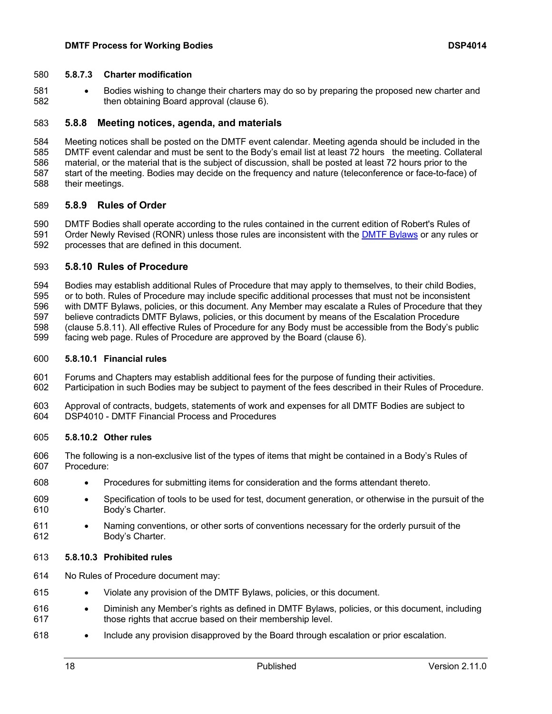#### **5.8.7.3 Charter modification**

 • Bodies wishing to change their charters may do so by preparing the proposed new charter and then obtaining Board approval (clause 6).

#### **5.8.8 Meeting notices, agenda, and materials**

 Meeting notices shall be posted on the DMTF event calendar. Meeting agenda should be included in the DMTF event calendar and must be sent to the Body's email list at least 72 hours the meeting. Collateral material, or the material that is the subject of discussion, shall be posted at least 72 hours prior to the start of the meeting. Bodies may decide on the frequency and nature (teleconference or face-to-face) of their meetings.

#### **5.8.9 Rules of Order**

 DMTF Bodies shall operate according to the rules contained in the current edition of Robert's Rules of Order Newly Revised (RONR) unless those rules are inconsistent with the DMTF Bylaws or any rules or processes that are defined in this document.

#### **5.8.10 Rules of Procedure**

 Bodies may establish additional Rules of Procedure that may apply to themselves, to their child Bodies, or to both. Rules of Procedure may include specific additional processes that must not be inconsistent with DMTF Bylaws, policies, or this document. Any Member may escalate a Rules of Procedure that they believe contradicts DMTF Bylaws, policies, or this document by means of the Escalation Procedure (clause 5.8.11). All effective Rules of Procedure for any Body must be accessible from the Body's public facing web page. Rules of Procedure are approved by the Board (clause 6).

#### **5.8.10.1 Financial rules**

- Forums and Chapters may establish additional fees for the purpose of funding their activities.
- Participation in such Bodies may be subject to payment of the fees described in their Rules of Procedure.
- Approval of contracts, budgets, statements of work and expenses for all DMTF Bodies are subject to DSP4010 - DMTF Financial Process and Procedures

#### **5.8.10.2 Other rules**

- The following is a non-exclusive list of the types of items that might be contained in a Body's Rules of Procedure:
- Procedures for submitting items for consideration and the forms attendant thereto.
- Specification of tools to be used for test, document generation, or otherwise in the pursuit of the Body's Charter.
- 611 Naming conventions, or other sorts of conventions necessary for the orderly pursuit of the Body's Charter.
- **5.8.10.3 Prohibited rules**
- No Rules of Procedure document may:
- Violate any provision of the DMTF Bylaws, policies, or this document.
- Diminish any Member's rights as defined in DMTF Bylaws, policies, or this document, including those rights that accrue based on their membership level.
- Include any provision disapproved by the Board through escalation or prior escalation.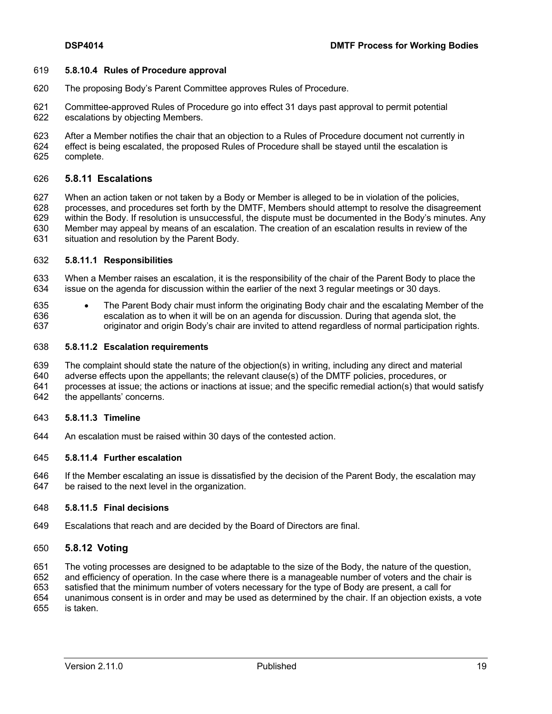#### **5.8.10.4 Rules of Procedure approval**

- The proposing Body's Parent Committee approves Rules of Procedure.
- Committee-approved Rules of Procedure go into effect 31 days past approval to permit potential escalations by objecting Members.
- After a Member notifies the chair that an objection to a Rules of Procedure document not currently in effect is being escalated, the proposed Rules of Procedure shall be stayed until the escalation is complete.

#### **5.8.11 Escalations**

 When an action taken or not taken by a Body or Member is alleged to be in violation of the policies, processes, and procedures set forth by the DMTF, Members should attempt to resolve the disagreement within the Body. If resolution is unsuccessful, the dispute must be documented in the Body's minutes. Any Member may appeal by means of an escalation. The creation of an escalation results in review of the situation and resolution by the Parent Body.

#### **5.8.11.1 Responsibilities**

- When a Member raises an escalation, it is the responsibility of the chair of the Parent Body to place the issue on the agenda for discussion within the earlier of the next 3 regular meetings or 30 days.
- The Parent Body chair must inform the originating Body chair and the escalating Member of the escalation as to when it will be on an agenda for discussion. During that agenda slot, the originator and origin Body's chair are invited to attend regardless of normal participation rights.

#### **5.8.11.2 Escalation requirements**

- The complaint should state the nature of the objection(s) in writing, including any direct and material
- adverse effects upon the appellants; the relevant clause(s) of the DMTF policies, procedures, or
- processes at issue; the actions or inactions at issue; and the specific remedial action(s) that would satisfy
- the appellants' concerns.

#### **5.8.11.3 Timeline**

An escalation must be raised within 30 days of the contested action.

#### **5.8.11.4 Further escalation**

 If the Member escalating an issue is dissatisfied by the decision of the Parent Body, the escalation may be raised to the next level in the organization.

#### **5.8.11.5 Final decisions**

Escalations that reach and are decided by the Board of Directors are final.

#### **5.8.12 Voting**

- The voting processes are designed to be adaptable to the size of the Body, the nature of the question,
- and efficiency of operation. In the case where there is a manageable number of voters and the chair is
- satisfied that the minimum number of voters necessary for the type of Body are present, a call for
- unanimous consent is in order and may be used as determined by the chair. If an objection exists, a vote

is taken.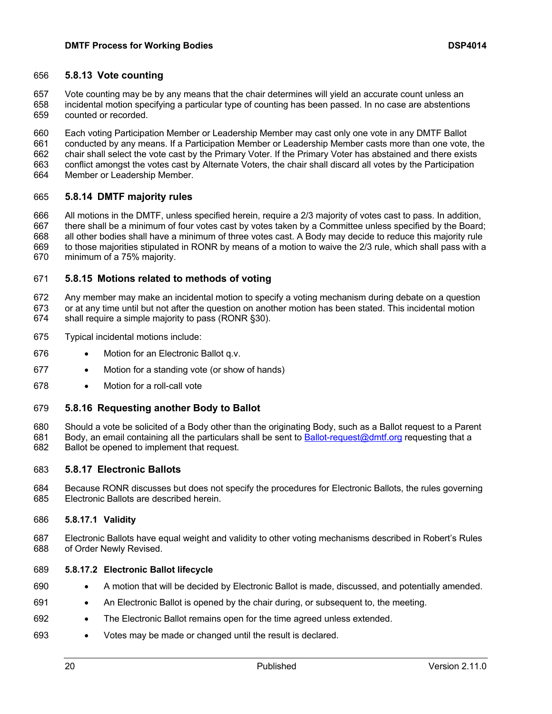#### **5.8.13 Vote counting**

 Vote counting may be by any means that the chair determines will yield an accurate count unless an incidental motion specifying a particular type of counting has been passed. In no case are abstentions counted or recorded.

 Each voting Participation Member or Leadership Member may cast only one vote in any DMTF Ballot conducted by any means. If a Participation Member or Leadership Member casts more than one vote, the chair shall select the vote cast by the Primary Voter. If the Primary Voter has abstained and there exists conflict amongst the votes cast by Alternate Voters, the chair shall discard all votes by the Participation Member or Leadership Member.

#### **5.8.14 DMTF majority rules**

 All motions in the DMTF, unless specified herein, require a 2/3 majority of votes cast to pass. In addition, there shall be a minimum of four votes cast by votes taken by a Committee unless specified by the Board; all other bodies shall have a minimum of three votes cast. A Body may decide to reduce this majority rule to those majorities stipulated in RONR by means of a motion to waive the 2/3 rule, which shall pass with a minimum of a 75% majority.

#### **5.8.15 Motions related to methods of voting**

 Any member may make an incidental motion to specify a voting mechanism during debate on a question or at any time until but not after the question on another motion has been stated. This incidental motion shall require a simple majority to pass (RONR §30).

- Typical incidental motions include:
- Motion for an Electronic Ballot q.v.
- Motion for a standing vote (or show of hands)
- Motion for a roll-call vote

#### **5.8.16 Requesting another Body to Ballot**

 Should a vote be solicited of a Body other than the originating Body, such as a Ballot request to a Parent 681 Body, an email containing all the particulars shall be sent to Ballot-request@dmtf.org requesting that a Ballot be opened to implement that request.

- **5.8.17 Electronic Ballots**
- Because RONR discusses but does not specify the procedures for Electronic Ballots, the rules governing Electronic Ballots are described herein.

#### **5.8.17.1 Validity**

 Electronic Ballots have equal weight and validity to other voting mechanisms described in Robert's Rules of Order Newly Revised.

#### **5.8.17.2 Electronic Ballot lifecycle**

- A motion that will be decided by Electronic Ballot is made, discussed, and potentially amended.
- An Electronic Ballot is opened by the chair during, or subsequent to, the meeting.
- The Electronic Ballot remains open for the time agreed unless extended.
- Votes may be made or changed until the result is declared.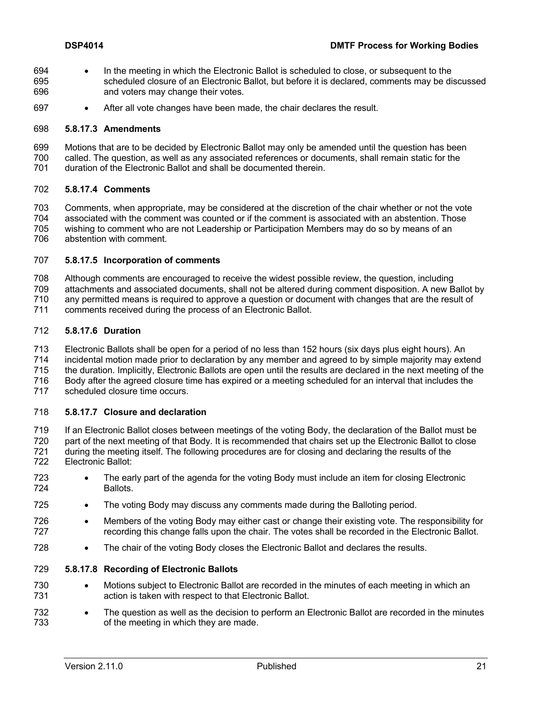- In the meeting in which the Electronic Ballot is scheduled to close, or subsequent to the scheduled closure of an Electronic Ballot, but before it is declared, comments may be discussed and voters may change their votes.
- After all vote changes have been made, the chair declares the result.

#### **5.8.17.3 Amendments**

- Motions that are to be decided by Electronic Ballot may only be amended until the question has been
- called. The question, as well as any associated references or documents, shall remain static for the
- duration of the Electronic Ballot and shall be documented therein.

#### **5.8.17.4 Comments**

- Comments, when appropriate, may be considered at the discretion of the chair whether or not the vote
- associated with the comment was counted or if the comment is associated with an abstention. Those wishing to comment who are not Leadership or Participation Members may do so by means of an
- abstention with comment.

#### **5.8.17.5 Incorporation of comments**

- Although comments are encouraged to receive the widest possible review, the question, including
- attachments and associated documents, shall not be altered during comment disposition. A new Ballot by
- any permitted means is required to approve a question or document with changes that are the result of
- comments received during the process of an Electronic Ballot.

#### **5.8.17.6 Duration**

- Electronic Ballots shall be open for a period of no less than 152 hours (six days plus eight hours). An
- incidental motion made prior to declaration by any member and agreed to by simple majority may extend
- the duration. Implicitly, Electronic Ballots are open until the results are declared in the next meeting of the
- Body after the agreed closure time has expired or a meeting scheduled for an interval that includes the
- scheduled closure time occurs.

#### **5.8.17.7 Closure and declaration**

- If an Electronic Ballot closes between meetings of the voting Body, the declaration of the Ballot must be 720 part of the next meeting of that Body. It is recommended that chairs set up the Electronic Ballot to close<br>721 during the meeting itself. The following procedures are for closing and declaring the results of the during the meeting itself. The following procedures are for closing and declaring the results of the
- Electronic Ballot:
- The early part of the agenda for the voting Body must include an item for closing Electronic Ballots.
- The voting Body may discuss any comments made during the Balloting period.
- Members of the voting Body may either cast or change their existing vote. The responsibility for recording this change falls upon the chair. The votes shall be recorded in the Electronic Ballot.
- 728 The chair of the voting Body closes the Electronic Ballot and declares the results.

#### **5.8.17.8 Recording of Electronic Ballots**

- Motions subject to Electronic Ballot are recorded in the minutes of each meeting in which an action is taken with respect to that Electronic Ballot.
- The question as well as the decision to perform an Electronic Ballot are recorded in the minutes of the meeting in which they are made.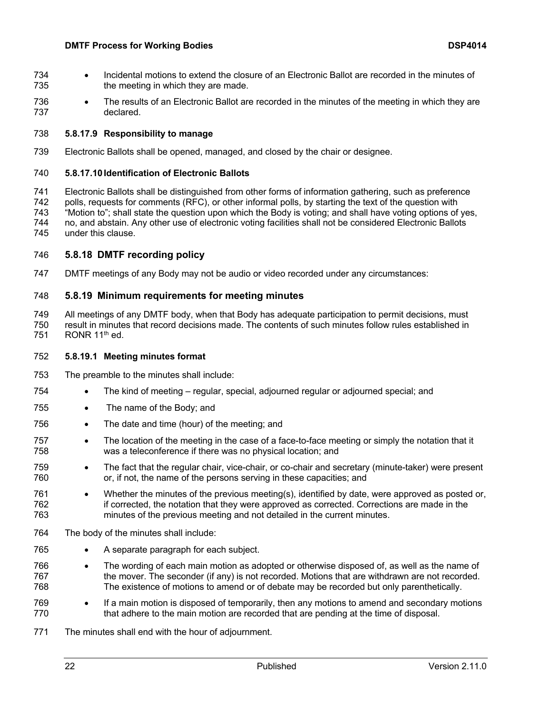- Incidental motions to extend the closure of an Electronic Ballot are recorded in the minutes of 735 the meeting in which they are made.
- The results of an Electronic Ballot are recorded in the minutes of the meeting in which they are declared.

#### **5.8.17.9 Responsibility to manage**

Electronic Ballots shall be opened, managed, and closed by the chair or designee.

#### **5.8.17.10 Identification of Electronic Ballots**

 Electronic Ballots shall be distinguished from other forms of information gathering, such as preference polls, requests for comments (RFC), or other informal polls, by starting the text of the question with The "Motion to"; shall state the question upon which the Body is voting; and shall have voting options of yes,<br>The no, and abstain. Any other use of electronic voting facilities shall not be considered Electronic Ballots no, and abstain. Any other use of electronic voting facilities shall not be considered Electronic Ballots under this clause.

#### **5.8.18 DMTF recording policy**

DMTF meetings of any Body may not be audio or video recorded under any circumstances:

#### **5.8.19 Minimum requirements for meeting minutes**

 All meetings of any DMTF body, when that Body has adequate participation to permit decisions, must result in minutes that record decisions made. The contents of such minutes follow rules established in 751 RONR  $11<sup>th</sup>$  ed.

#### **5.8.19.1 Meeting minutes format**

- The preamble to the minutes shall include:
- The kind of meeting regular, special, adjourned regular or adjourned special; and
- 755 The name of the Body; and
- The date and time (hour) of the meeting; and
- The location of the meeting in the case of a face-to-face meeting or simply the notation that it was a teleconference if there was no physical location; and
- The fact that the regular chair, vice-chair, or co-chair and secretary (minute-taker) were present or, if not, the name of the persons serving in these capacities; and
- 761 Whether the minutes of the previous meeting(s), identified by date, were approved as posted or, if corrected, the notation that they were approved as corrected. Corrections are made in the minutes of the previous meeting and not detailed in the current minutes.
- The body of the minutes shall include:
- A separate paragraph for each subject.
- The wording of each main motion as adopted or otherwise disposed of, as well as the name of the mover. The seconder (if any) is not recorded. Motions that are withdrawn are not recorded. The existence of motions to amend or of debate may be recorded but only parenthetically.
- If a main motion is disposed of temporarily, then any motions to amend and secondary motions that adhere to the main motion are recorded that are pending at the time of disposal.
- The minutes shall end with the hour of adjournment.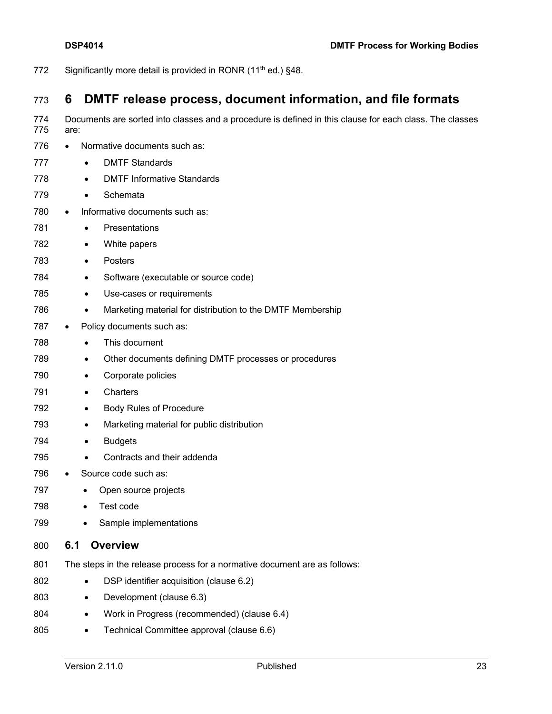772 Significantly more detail is provided in RONR  $(11<sup>th</sup>$  ed.) §48.

## **6 DMTF release process, document information, and file formats**

Documents are sorted into classes and a procedure is defined in this clause for each class. The classes

 are: 776 • Normative documents such as: • DMTF Standards • DMTF Informative Standards • Schemata 780 • Informative documents such as: • Presentations • White papers • Posters • Software (executable or source code) 785 • Use-cases or requirements • Marketing material for distribution to the DMTF Membership 787 • Policy documents such as: • This document • Other documents defining DMTF processes or procedures • Corporate policies • Charters • Body Rules of Procedure • Marketing material for public distribution • Budgets • Contracts and their addenda 796 • Source code such as: 797 • Open source projects • Test code • Sample implementations **6.1 Overview** The steps in the release process for a normative document are as follows: 802 • DSP identifier acquisition (clause 6.2) 803 • Development (clause 6.3) 804 • Work in Progress (recommended) (clause 6.4) 805 • Technical Committee approval (clause 6.6)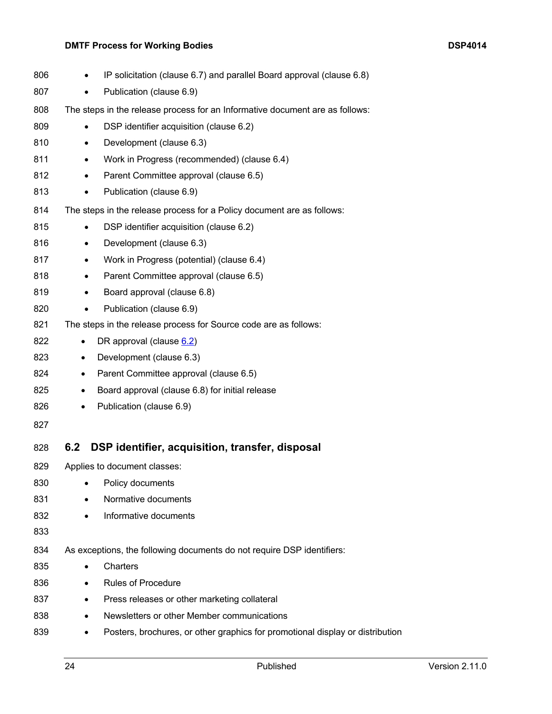### **DMTF Process for Working Bodies DSP4014**

| 806 | IP solicitation (clause 6.7) and parallel Board approval (clause 6.8)<br>٠    |
|-----|-------------------------------------------------------------------------------|
| 807 | Publication (clause 6.9)<br>$\bullet$                                         |
| 808 | The steps in the release process for an Informative document are as follows:  |
| 809 | DSP identifier acquisition (clause 6.2)                                       |
| 810 | Development (clause 6.3)<br>$\bullet$                                         |
| 811 | Work in Progress (recommended) (clause 6.4)<br>$\bullet$                      |
| 812 | Parent Committee approval (clause 6.5)<br>$\bullet$                           |
| 813 | Publication (clause 6.9)<br>$\bullet$                                         |
| 814 | The steps in the release process for a Policy document are as follows:        |
| 815 | DSP identifier acquisition (clause 6.2)<br>$\bullet$                          |
| 816 | Development (clause 6.3)<br>$\bullet$                                         |
| 817 | Work in Progress (potential) (clause 6.4)<br>$\bullet$                        |
| 818 | Parent Committee approval (clause 6.5)<br>$\bullet$                           |
| 819 | Board approval (clause 6.8)<br>$\bullet$                                      |
| 820 | Publication (clause 6.9)                                                      |
| 821 | The steps in the release process for Source code are as follows:              |
| 822 | DR approval (clause 6.2)<br>$\bullet$                                         |
| 823 | Development (clause 6.3)<br>$\bullet$                                         |
| 824 | Parent Committee approval (clause 6.5)<br>$\bullet$                           |
| 825 | Board approval (clause 6.8) for initial release<br>$\bullet$                  |
| 826 | Publication (clause 6.9)<br>$\bullet$                                         |
| 827 |                                                                               |
| 828 | DSP identifier, acquisition, transfer, disposal<br>6.2                        |
| 829 | Applies to document classes:                                                  |
| 830 | Policy documents<br>$\bullet$                                                 |
| 831 | Normative documents<br>$\bullet$                                              |
| 832 | Informative documents<br>$\bullet$                                            |
| 833 |                                                                               |
| 834 | As exceptions, the following documents do not require DSP identifiers:        |
| 835 | Charters                                                                      |
| 836 | <b>Rules of Procedure</b>                                                     |
| 837 | Press releases or other marketing collateral                                  |
| 838 | Newsletters or other Member communications                                    |
| 839 | Posters, brochures, or other graphics for promotional display or distribution |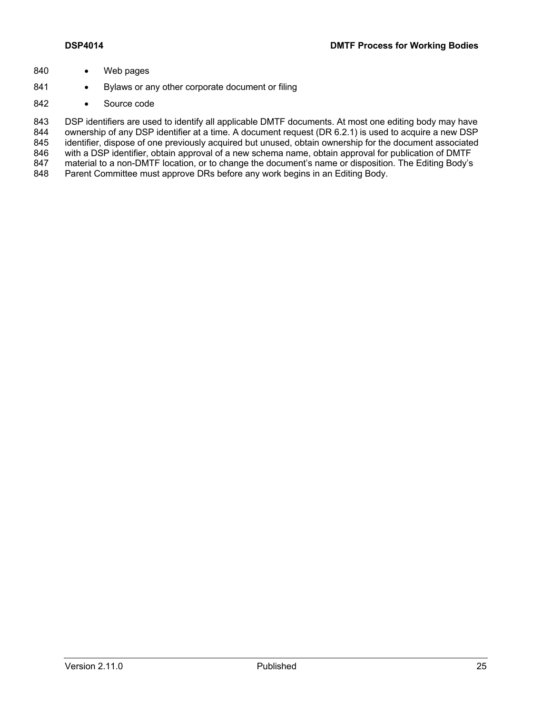- 840 Web pages
- 841 Bylaws or any other corporate document or filing
- 842 Source code

843 DSP identifiers are used to identify all applicable DMTF documents. At most one editing body may have 844 ownership of any DSP identifier at a time. A document request (DR 6.2.1) is used to acquire a new DSP ownership of any DSP identifier at a time. A document request (DR 6.2.1) is used to acquire a new DSP 845 identifier, dispose of one previously acquired but unused, obtain ownership for the document associated 846 with a DSP identifier, obtain approval of a new schema name, obtain approval for publication of DMTF<br>847 material to a non-DMTF location, or to change the document's name or disposition. The Editing Body's material to a non-DMTF location, or to change the document's name or disposition. The Editing Body's 848 Parent Committee must approve DRs before any work begins in an Editing Body.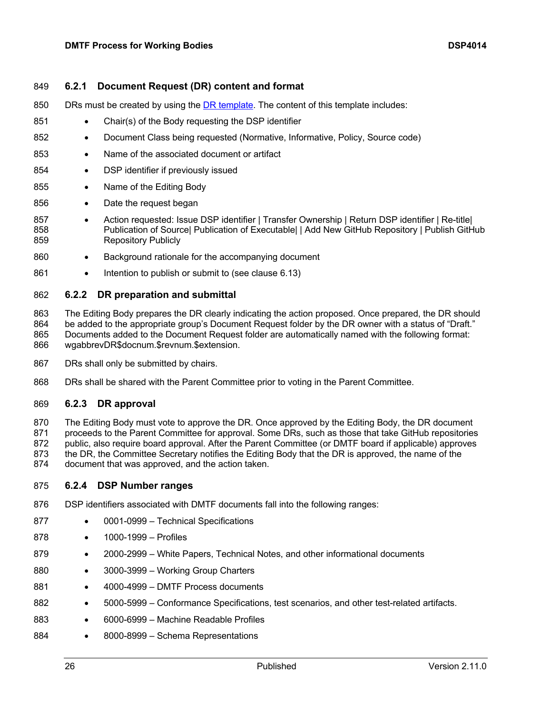#### 849 **6.2.1 Document Request (DR) content and format**

- 850 DRs must be created by using the DR template. The content of this template includes:
- 851 Chair(s) of the Body requesting the DSP identifier
- 852 Document Class being requested (Normative, Informative, Policy, Source code)
- 853 Name of the associated document or artifact
- 854 DSP identifier if previously issued
- 855 Name of the Editing Body
- 856 Date the request began
- 857 Action requested: Issue DSP identifier | Transfer Ownership | Return DSP identifier | Re-title | 858 Publication of Source| Publication of Executable| | Add New GitHub Repository | Publish GitHub 859 Repository Publicly
- 860 Background rationale for the accompanying document
- 861 Intention to publish or submit to (see clause 6.13)

#### 862 **6.2.2 DR preparation and submittal**

 The Editing Body prepares the DR clearly indicating the action proposed. Once prepared, the DR should be added to the appropriate group's Document Request folder by the DR owner with a status of "Draft." Documents added to the Document Request folder are automatically named with the following format: wgabbrevDR\$docnum.\$revnum.\$extension.

- 867 DRs shall only be submitted by chairs.
- 868 DRs shall be shared with the Parent Committee prior to voting in the Parent Committee.

#### 869 **6.2.3 DR approval**

 The Editing Body must vote to approve the DR. Once approved by the Editing Body, the DR document 871 proceeds to the Parent Committee for approval. Some DRs, such as those that take GitHub repositories public, also require board approval. After the Parent Committee (or DMTF board if applicable) approves the DR, the Committee Secretary notifies the Editing Body that the DR is approved, the name of the document that was approved, and the action taken.

#### 875 **6.2.4 DSP Number ranges**

- 876 DSP identifiers associated with DMTF documents fall into the following ranges:
- 877 0001-0999 Technical Specifications
- 878 1000-1999 Profiles
- 879 2000-2999 White Papers, Technical Notes, and other informational documents
- 880 3000-3999 Working Group Charters
- 881 4000-4999 DMTF Process documents
- 882 5000-5999 Conformance Specifications, test scenarios, and other test-related artifacts.
- 883 6000-6999 Machine Readable Profiles
- 884 8000-8999 Schema Representations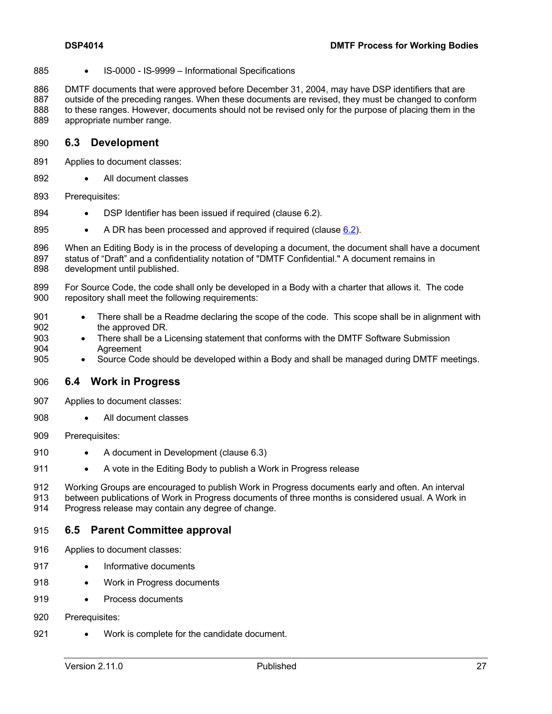885 • IS-0000 - IS-9999 – Informational Specifications

 DMTF documents that were approved before December 31, 2004, may have DSP identifiers that are outside of the preceding ranges. When these documents are revised, they must be changed to conform to these ranges. However, documents should not be revised only for the purpose of placing them in the appropriate number range.

#### **6.3 Development**

- Applies to document classes:
- 892 All document classes
- Prerequisites:
- 894 DSP Identifier has been issued if required (clause 6.2).
- 895 A DR has been processed and approved if required (clause 6.2).
- When an Editing Body is in the process of developing a document, the document shall have a document status of "Draft" and a confidentiality notation of "DMTF Confidential." A document remains in development until published.
- For Source Code, the code shall only be developed in a Body with a charter that allows it. The code repository shall meet the following requirements:
- 901 There shall be a Readme declaring the scope of the code. This scope shall be in alignment with the approved DR.
- There shall be a Licensing statement that conforms with the DMTF Software Submission Agreement
- Source Code should be developed within a Body and shall be managed during DMTF meetings.

#### **6.4 Work in Progress**

- Applies to document classes:
- All document classes
- Prerequisites:
- 910 A document in Development (clause 6.3)
- A vote in the Editing Body to publish a Work in Progress release

Working Groups are encouraged to publish Work in Progress documents early and often. An interval

 between publications of Work in Progress documents of three months is considered usual. A Work in Progress release may contain any degree of change.

#### **6.5 Parent Committee approval**

- Applies to document classes:
- 917 Informative documents
- 918 Work in Progress documents
- 919 Process documents
- 920 Prerequisites:
- 921 Work is complete for the candidate document.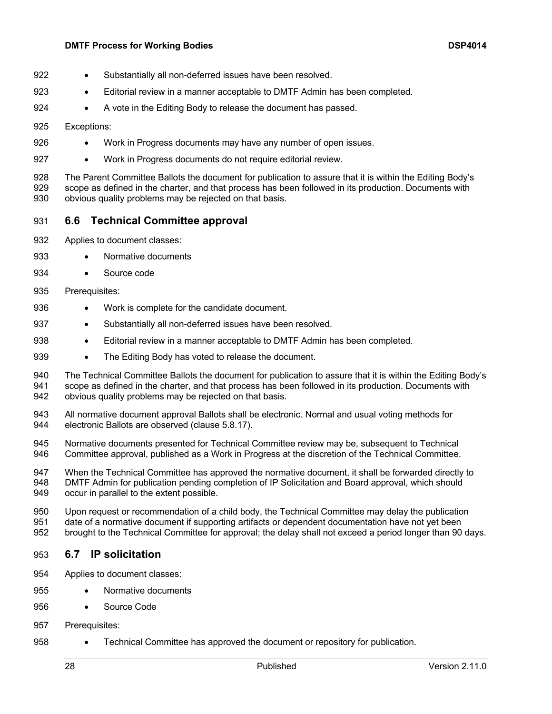#### **DMTF Process for Working Bodies DSP4014**

- 922 Substantially all non-deferred issues have been resolved.
- Editorial review in a manner acceptable to DMTF Admin has been completed.
- 924 A vote in the Editing Body to release the document has passed.

#### Exceptions:

- 926 Work in Progress documents may have any number of open issues.
- 927 Work in Progress documents do not require editorial review.

 The Parent Committee Ballots the document for publication to assure that it is within the Editing Body's scope as defined in the charter, and that process has been followed in its production. Documents with obvious quality problems may be rejected on that basis.

- **6.6 Technical Committee approval**
- Applies to document classes:
- 933 Normative documents
- Source code
- Prerequisites:
- 936 Work is complete for the candidate document.
- 937 Substantially all non-deferred issues have been resolved.
- Editorial review in a manner acceptable to DMTF Admin has been completed.
- 939 The Editing Body has voted to release the document.

 The Technical Committee Ballots the document for publication to assure that it is within the Editing Body's scope as defined in the charter, and that process has been followed in its production. Documents with obvious quality problems may be rejected on that basis.

- All normative document approval Ballots shall be electronic. Normal and usual voting methods for electronic Ballots are observed (clause 5.8.17).
- Normative documents presented for Technical Committee review may be, subsequent to Technical Committee approval, published as a Work in Progress at the discretion of the Technical Committee.

 When the Technical Committee has approved the normative document, it shall be forwarded directly to DMTF Admin for publication pending completion of IP Solicitation and Board approval, which should occur in parallel to the extent possible.

 Upon request or recommendation of a child body, the Technical Committee may delay the publication date of a normative document if supporting artifacts or dependent documentation have not yet been brought to the Technical Committee for approval; the delay shall not exceed a period longer than 90 days.

- **6.7 IP solicitation**
- Applies to document classes:
- Normative documents
- Source Code
- Prerequisites:
- Technical Committee has approved the document or repository for publication.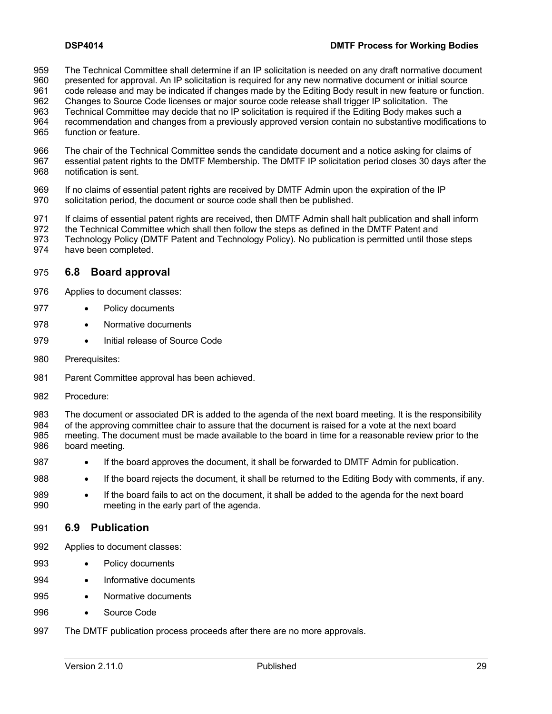- 959 The Technical Committee shall determine if an IP solicitation is needed on any draft normative document<br>960 presented for approval. An IP solicitation is required for any new normative document or initial source
- presented for approval. An IP solicitation is required for any new normative document or initial source
- code release and may be indicated if changes made by the Editing Body result in new feature or function.
- Changes to Source Code licenses or major source code release shall trigger IP solicitation. The Technical Committee may decide that no IP solicitation is required if the Editing Body makes such a
- recommendation and changes from a previously approved version contain no substantive modifications to
- function or feature.
- The chair of the Technical Committee sends the candidate document and a notice asking for claims of
- essential patent rights to the DMTF Membership. The DMTF IP solicitation period closes 30 days after the notification is sent.
- If no claims of essential patent rights are received by DMTF Admin upon the expiration of the IP solicitation period, the document or source code shall then be published.
- 971 If claims of essential patent rights are received, then DMTF Admin shall halt publication and shall inform
- the Technical Committee which shall then follow the steps as defined in the DMTF Patent and
- Technology Policy (DMTF Patent and Technology Policy). No publication is permitted until those steps
- have been completed.

### **6.8 Board approval**

- Applies to document classes:
- 977 Policy documents
- 978 Normative documents
- 979 Initial release of Source Code
- 980 Prerequisites:
- Parent Committee approval has been achieved.
- Procedure:
- The document or associated DR is added to the agenda of the next board meeting. It is the responsibility
- of the approving committee chair to assure that the document is raised for a vote at the next board meeting. The document must be made available to the board in time for a reasonable review prior to the board meeting.
- 987 If the board approves the document, it shall be forwarded to DMTF Admin for publication.
- If the board rejects the document, it shall be returned to the Editing Body with comments, if any.
- If the board fails to act on the document, it shall be added to the agenda for the next board meeting in the early part of the agenda.

#### **6.9 Publication**

- Applies to document classes:
- Policy documents
- 994 · Informative documents
- 995 Normative documents
- 996 Source Code
- The DMTF publication process proceeds after there are no more approvals.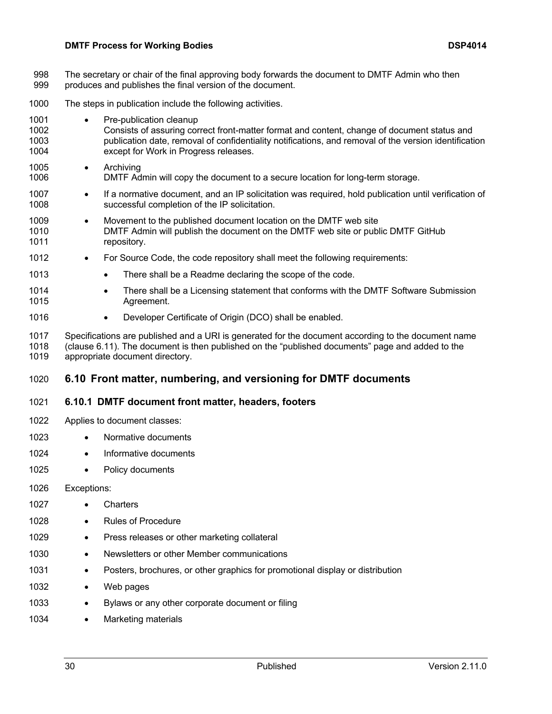- 998 The secretary or chair of the final approving body forwards the document to DMTF Admin who then 999 produces and publishes the final version of the document.
- 1000 The steps in publication include the following activities.
- 1001 Pre-publication cleanup 1002 Consists of assuring correct front-matter format and content, change of document status and 1003 publication date, removal of confidentiality notifications, and removal of the version identification 1004 except for Work in Progress releases.
- 1005 Archiving 1006 DMTF Admin will copy the document to a secure location for long-term storage.
- 1007 If a normative document, and an IP solicitation was required, hold publication until verification of 1008 successful completion of the IP solicitation.
- 1009 Movement to the published document location on the DMTF web site 1010 DMTF Admin will publish the document on the DMTF web site or public DMTF GitHub 1011 repository.
- 1012 For Source Code, the code repository shall meet the following requirements:
- 1013 There shall be a Readme declaring the scope of the code.
- 1014 There shall be a Licensing statement that conforms with the DMTF Software Submission 1015 Agreement.
- 1016 Developer Certificate of Origin (DCO) shall be enabled.
- 1017 Specifications are published and a URI is generated for the document according to the document name 1018 (clause 6.11). The document is then published on the "published documents" page and added to the appropriate document directory.

## 1020 **6.10 Front matter, numbering, and versioning for DMTF documents**

#### 1021 **6.10.1 DMTF document front matter, headers, footers**

- 1022 Applies to document classes:
- 1023 Normative documents
- 1024 Informative documents
- 1025 Policy documents

1026 Exceptions:

- 1027 Charters
- 1028 · Rules of Procedure
- 1029 Press releases or other marketing collateral
- 1030 Newsletters or other Member communications
- 1031 Posters, brochures, or other graphics for promotional display or distribution
- 1032 Web pages
- 1033 Bylaws or any other corporate document or filing
- 1034 Marketing materials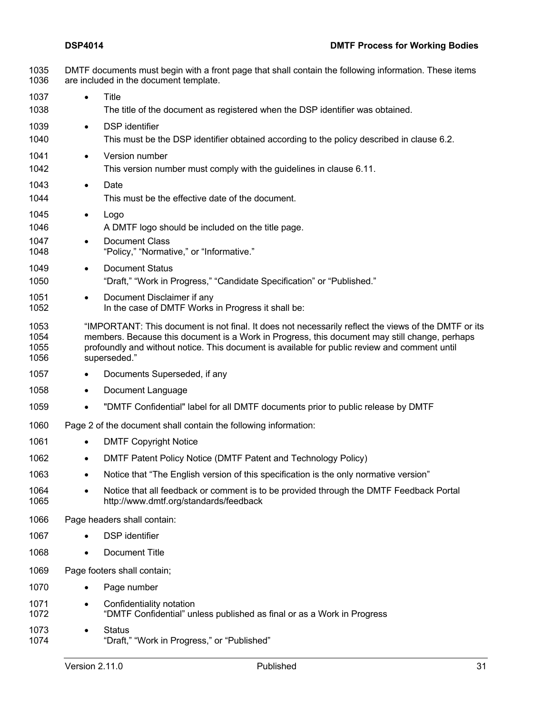- DMTF documents must begin with a front page that shall contain the following information. These items are included in the document template. • Title The title of the document as registered when the DSP identifier was obtained. • DSP identifier This must be the DSP identifier obtained according to the policy described in clause 6.2. 1041 • Version number This version number must comply with the guidelines in clause 6.11. • Date This must be the effective date of the document. • Logo A DMTF logo should be included on the title page. 1047 • Document Class "Policy," "Normative," or "Informative." 1049 • Document Status "Draft," "Work in Progress," "Candidate Specification" or "Published." 1051 • Document Disclaimer if any In the case of DMTF Works in Progress it shall be: "IMPORTANT: This document is not final. It does not necessarily reflect the views of the DMTF or its members. Because this document is a Work in Progress, this document may still change, perhaps profoundly and without notice. This document is available for public review and comment until superseded." 1057 • Documents Superseded, if any 1058 • Document Language • "DMTF Confidential" label for all DMTF documents prior to public release by DMTF Page 2 of the document shall contain the following information: 1061 • DMTF Copyright Notice • DMTF Patent Policy Notice (DMTF Patent and Technology Policy) • Notice that "The English version of this specification is the only normative version" 1064 • Notice that all feedback or comment is to be provided through the DMTF Feedback Portal<br>1065 http://www.dmtf.org/standards/feedback http://www.dmtf.org/standards/feedback Page headers shall contain: 1067 · DSP identifier • Document Title
- Page footers shall contain;
- 1070 · Page number
- 1071 Confidentiality notation "DMTF Confidential" unless published as final or as a Work in Progress
- Status "Draft," "Work in Progress," or "Published"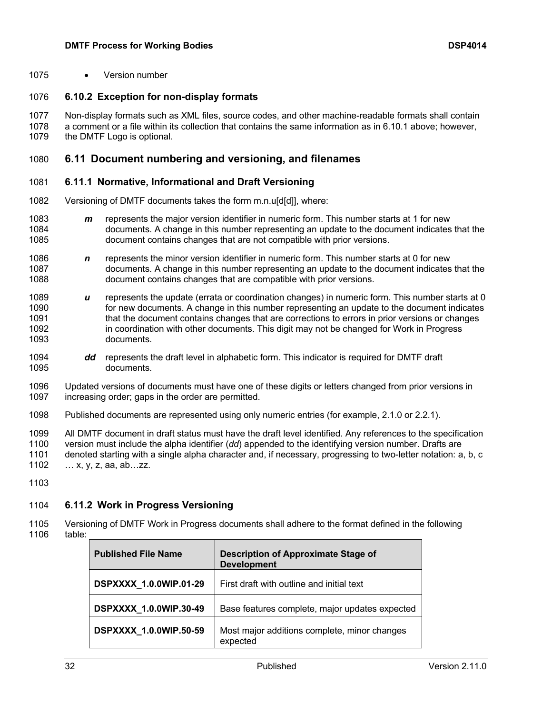• Version number

#### **6.10.2 Exception for non-display formats**

 Non-display formats such as XML files, source codes, and other machine-readable formats shall contain a comment or a file within its collection that contains the same information as in 6.10.1 above; however, 1079 the DMTF Logo is optional.

#### **6.11 Document numbering and versioning, and filenames**

#### **6.11.1 Normative, Informational and Draft Versioning**

Versioning of DMTF documents takes the form m.n.u[d[d]], where:

- 1083 **m** represents the major version identifier in numeric form. This number starts at 1 for new<br>1084 documents. A change in this number representing an update to the document indicates 1084 documents. A change in this number representing an update to the document indicates that the 1085 document contains changes that are not compatible with prior versions. document contains changes that are not compatible with prior versions.
- *n* represents the minor version identifier in numeric form. This number starts at 0 for new documents. A change in this number representing an update to the document indicates that the document contains changes that are compatible with prior versions.
- 1089 **u** represents the update (errata or coordination changes) in numeric form. This number starts at 0<br>1090 for new documents. A change in this number representing an update to the document indicates for new documents. A change in this number representing an update to the document indicates that the document contains changes that are corrections to errors in prior versions or changes in coordination with other documents. This digit may not be changed for Work in Progress documents.
- *dd* represents the draft level in alphabetic form. This indicator is required for DMTF draft documents.
- 1096 Updated versions of documents must have one of these digits or letters changed from prior versions in 1097 increasing order: gaps in the order are permitted increasing order; gaps in the order are permitted.
- Published documents are represented using only numeric entries (for example, 2.1.0 or 2.2.1).

 All DMTF document in draft status must have the draft level identified. Any references to the specification version must include the alpha identifier (*dd*) appended to the identifying version number. Drafts are denoted starting with a single alpha character and, if necessary, progressing to two-letter notation: a, b, c … x, y, z, aa, ab…zz.

#### **6.11.2 Work in Progress Versioning**

 Versioning of DMTF Work in Progress documents shall adhere to the format defined in the following table:

| <b>Published File Name</b>    | <b>Description of Approximate Stage of</b><br><b>Development</b> |
|-------------------------------|------------------------------------------------------------------|
| DSPXXXX 1.0.0WIP.01-29        | First draft with outline and initial text                        |
| <b>DSPXXXX 1.0.0WIP.30-49</b> | Base features complete, major updates expected                   |
| <b>DSPXXXX 1.0.0WIP.50-59</b> | Most major additions complete, minor changes<br>expected         |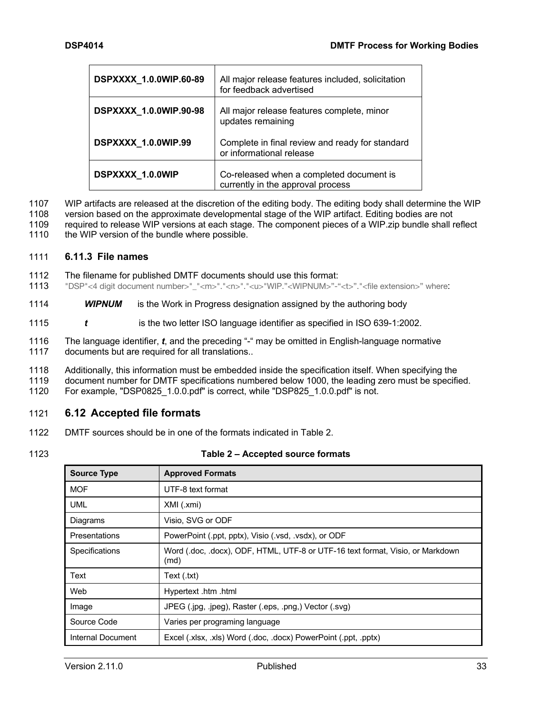| DSPXXXX 1.0.0WIP.60-89        | All major release features included, solicitation<br>for feedback advertised  |
|-------------------------------|-------------------------------------------------------------------------------|
| <b>DSPXXXX 1.0.0WIP.90-98</b> | All major release features complete, minor<br>updates remaining               |
| DSPXXXX 1.0.0WIP.99           | Complete in final review and ready for standard<br>or informational release   |
| DSPXXXX 1.0.0WIP              | Co-released when a completed document is<br>currently in the approval process |

1107 WIP artifacts are released at the discretion of the editing body. The editing body shall determine the WIP

- 1108 version based on the approximate developmental stage of the WIP artifact. Editing bodies are not 1009 required to release WIP versions at each stage. The component pieces of a WIP zip bundle shall r
- 1109 required to release WIP versions at each stage. The component pieces of a WIP. zip bundle shall reflect 1110 the WIP version of the bundle where possible. the WIP version of the bundle where possible.

#### 1111 **6.11.3 File names**

- 1112 The filename for published DMTF documents should use this format:
- 1113 "DSP"<4 digit document number>"\_"<m>"."<n>"."<u>"WIP."<WIPNUM>"-"<t>"."<file extension>" where:
- 1114 *WIPNUM* is the Work in Progress designation assigned by the authoring body
- 1115 *t* is the two letter ISO language identifier as specified in ISO 639-1:2002.
- 1116 The language identifier, *t*, and the preceding "-" may be omitted in English-language normative 1117 documents but are required for all translations..
- 1118 Additionally, this information must be embedded inside the specification itself. When specifying the
- 1119 document number for DMTF specifications numbered below 1000, the leading zero must be specified.
- 1120 For example, "DSP0825\_1.0.0.pdf" is correct, while "DSP825\_1.0.0.pdf" is not.

#### 1121 **6.12 Accepted file formats**

- 1122 DMTF sources should be in one of the formats indicated in Table 2.
- 

#### 1123 **Table 2 – Accepted source formats**

| <b>Source Type</b> | <b>Approved Formats</b>                                                                |
|--------------------|----------------------------------------------------------------------------------------|
| <b>MOF</b>         | UTF-8 text format                                                                      |
| <b>UML</b>         | XMI (.xmi)                                                                             |
| Diagrams           | Visio, SVG or ODF                                                                      |
| Presentations      | PowerPoint (.ppt, pptx), Visio (.vsd, .vsdx), or ODF                                   |
| Specifications     | Word (.doc, .docx), ODF, HTML, UTF-8 or UTF-16 text format, Visio, or Markdown<br>(md) |
| Text               | Text (.txt)                                                                            |
| Web                | Hypertext .htm .html                                                                   |
| Image              | JPEG (.jpg, .jpeg), Raster (.eps, .png,) Vector (.svg)                                 |
| Source Code        | Varies per programing language                                                         |
| Internal Document  | Excel (.xlsx, .xls) Word (.doc, .docx) PowerPoint (.ppt, .pptx)                        |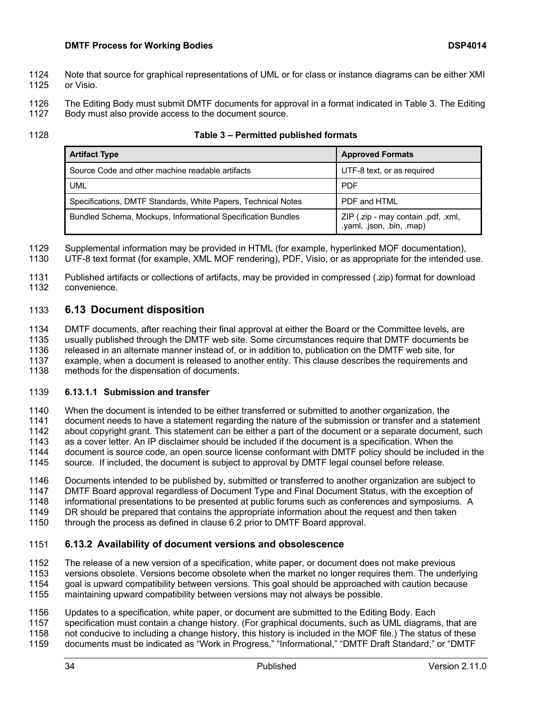- 1124 Note that source for graphical representations of UML or for class or instance diagrams can be either XMI 1125 or Visio.
- 1126 The Editing Body must submit DMTF documents for approval in a format indicated in Table 3. The Editing 1<br>1127 Body must also provide access to the document source.
- Body must also provide access to the document source.
- 

#### 1128 **Table 3 – Permitted published formats**

| <b>Artifact Type</b>                                          | <b>Approved Formats</b>                                          |
|---------------------------------------------------------------|------------------------------------------------------------------|
| Source Code and other machine readable artifacts              | UTF-8 text, or as required                                       |
| UML                                                           | <b>PDF</b>                                                       |
| Specifications, DMTF Standards, White Papers, Technical Notes | PDF and HTML                                                     |
| Bundled Schema, Mockups, Informational Specification Bundles  | ZIP (.zip - may contain .pdf, .xml,<br>.yaml, .json, .bin, .map) |

1129 Supplemental information may be provided in HTML (for example, hyperlinked MOF documentation),

1130 UTF-8 text format (for example, XML MOF rendering), PDF, Visio, or as appropriate for the intended use.

1131 Published artifacts or collections of artifacts, may be provided in compressed (.zip) format for download convenience.

## 1133 **6.13 Document disposition**

1134 DMTF documents, after reaching their final approval at either the Board or the Committee levels, are 1135 usually published through the DMTF web site. Some circumstances require that DMTF documents be 1136 released in an alternate manner instead of, or in addition to, publication on the DMTF web site, for

1137 example, when a document is released to another entity. This clause describes the requirements and

1138 methods for the dispensation of documents.

#### 1139 **6.13.1.1 Submission and transfer**

1140 When the document is intended to be either transferred or submitted to another organization, the

1141 document needs to have a statement regarding the nature of the submission or transfer and a statement

1142 about copyright grant. This statement can be either a part of the document or a separate document, such <br>1143 as a cover letter. An IP disclaimer should be included if the document is a specification. When the

1143 as a cover letter. An IP disclaimer should be included if the document is a specification. When the 1144 document is source code, an open source license conformant with DMTF policy should be include

document is source code, an open source license conformant with DMTF policy should be included in the

1145 source. If included, the document is subject to approval by DMTF legal counsel before release.

1146 Documents intended to be published by, submitted or transferred to another organization are subject to 14<br>1147 DMTF Board approval regardless of Document Type and Final Document Status, with the exception of DMTF Board approval regardless of Document Type and Final Document Status, with the exception of

- 1148 informational presentations to be presented at public forums such as conferences and symposiums. A
- 1149 DR should be prepared that contains the appropriate information about the request and then taken<br>1150 through the process as defined in clause 6.2 prior to DMTF Board approval.
- through the process as defined in clause 6.2 prior to DMTF Board approval.

## 1151 **6.13.2 Availability of document versions and obsolescence**

1152 The release of a new version of a specification, white paper, or document does not make previous

1153 versions obsolete. Versions become obsolete when the market no longer requires them. The underlying

1154 goal is upward compatibility between versions. This goal should be approached with caution because 1155 maintaining upward compatibility between versions may not always be possible.

1156 Updates to a specification, white paper, or document are submitted to the Editing Body. Each<br>1157 Specification must contain a change history. (For graphical documents, such as UML diagrams specification must contain a change history. (For graphical documents, such as UML diagrams, that are 1158 not conducive to including a change history, this history is included in the MOF file.) The status of these

1159 documents must be indicated as "Work in Progress," "Informational," "DMTF Draft Standard," or "DMTF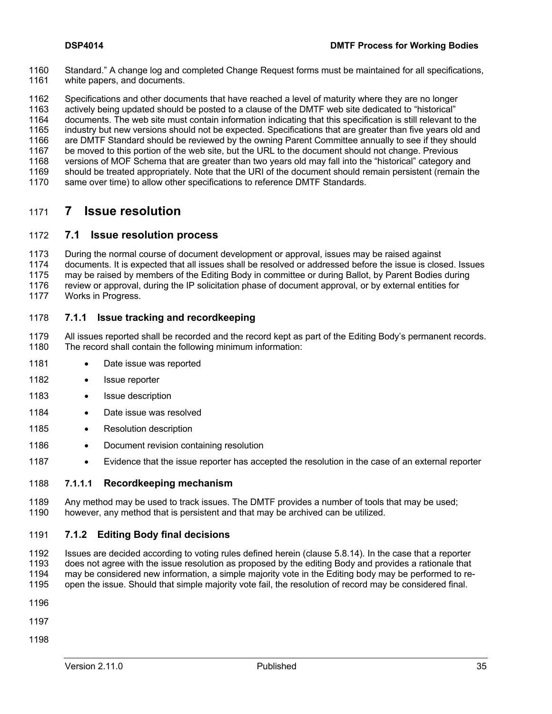- 1160 Standard." A change log and completed Change Request forms must be maintained for all specifications, 1161 white papers, and documents.
- 1162 Specifications and other documents that have reached a level of maturity where they are no longer<br>1163 actively being updated should be posted to a clause of the DMTF web site dedicated to "historical"

actively being updated should be posted to a clause of the DMTF web site dedicated to "historical"

1164 documents. The web site must contain information indicating that this specification is still relevant to the<br>1165 industry but new versions should not be expected. Specifications that are greater than five vears old a

industry but new versions should not be expected. Specifications that are greater than five years old and

- are DMTF Standard should be reviewed by the owning Parent Committee annually to see if they should
- be moved to this portion of the web site, but the URL to the document should not change. Previous versions of MOF Schema that are greater than two years old may fall into the "historical" category and
- should be treated appropriately. Note that the URI of the document should remain persistent (remain the
- same over time) to allow other specifications to reference DMTF Standards.

## **7 Issue resolution**

#### **7.1 Issue resolution process**

During the normal course of document development or approval, issues may be raised against

documents. It is expected that all issues shall be resolved or addressed before the issue is closed. Issues

may be raised by members of the Editing Body in committee or during Ballot, by Parent Bodies during

review or approval, during the IP solicitation phase of document approval, or by external entities for

Works in Progress.

#### **7.1.1 Issue tracking and recordkeeping**

 All issues reported shall be recorded and the record kept as part of the Editing Body's permanent records. The record shall contain the following minimum information:

- 1181 Date issue was reported
- 1182 · Issue reporter
- 1183 · Issue description
- 1184 Date issue was resolved
- 1185 Resolution description
- 1186 Document revision containing resolution
- Evidence that the issue reporter has accepted the resolution in the case of an external reporter

#### **7.1.1.1 Recordkeeping mechanism**

1189 Any method may be used to track issues. The DMTF provides a number of tools that may be used;<br>1190 bowever, any method that is persistent and that may be archived can be utilized. however, any method that is persistent and that may be archived can be utilized.

#### **7.1.2 Editing Body final decisions**

 Issues are decided according to voting rules defined herein (clause 5.8.14). In the case that a reporter does not agree with the issue resolution as proposed by the editing Body and provides a rationale that may be considered new information, a simple majority vote in the Editing body may be performed to re-open the issue. Should that simple majority vote fail, the resolution of record may be considered final.

- 
- 
-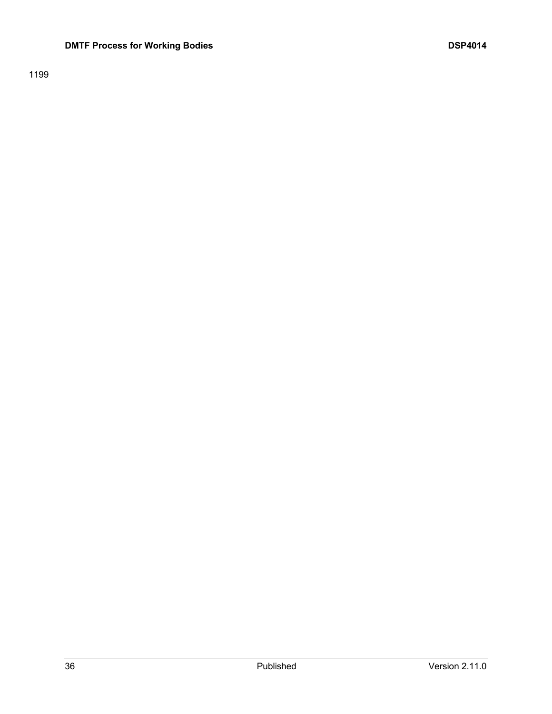### **DMTF Process for Working Bodies DSP4014**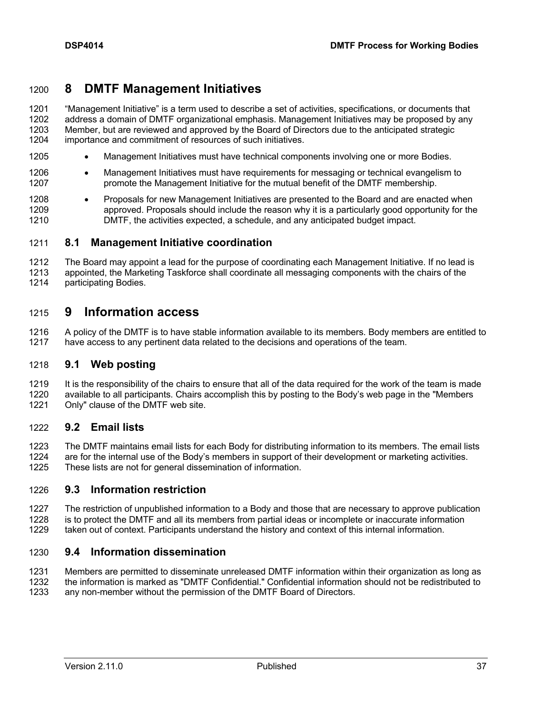## **8 DMTF Management Initiatives**

 "Management Initiative" is a term used to describe a set of activities, specifications, or documents that address a domain of DMTF organizational emphasis. Management Initiatives may be proposed by any 1203 Member, but are reviewed and approved by the Board of Directors due to the anticipated strategic<br>1204 importance and commitment of resources of such initiatives. importance and commitment of resources of such initiatives.

- 1205 Management Initiatives must have technical components involving one or more Bodies.
- 1206 Management Initiatives must have requirements for messaging or technical evangelism to promote the Management Initiative for the mutual benefit of the DMTF membership.
- 1208 Proposals for new Management Initiatives are presented to the Board and are enacted when **approved. Proposals should include the reason why it is a particularly good opportunity for the** DMTF, the activities expected, a schedule, and any anticipated budget impact.

#### **8.1 Management Initiative coordination**

 The Board may appoint a lead for the purpose of coordinating each Management Initiative. If no lead is appointed, the Marketing Taskforce shall coordinate all messaging components with the chairs of the participating Bodies.

## **9 Information access**

1216 A policy of the DMTF is to have stable information available to its members. Body members are entitled to<br>1217 have access to any pertinent data related to the decisions and operations of the team. have access to any pertinent data related to the decisions and operations of the team.

#### **9.1 Web posting**

1219 It is the responsibility of the chairs to ensure that all of the data required for the work of the team is made<br>1220 available to all participants. Chairs accomplish this by posting to the Body's web page in the "Memb available to all participants. Chairs accomplish this by posting to the Body's web page in the "Members"

Only" clause of the DMTF web site.

#### **9.2 Email lists**

 The DMTF maintains email lists for each Body for distributing information to its members. The email lists 1224 are for the internal use of the Body's members in support of their development or marketing activities.<br>1225 These lists are not for general dissemination of information. These lists are not for general dissemination of information.

#### **9.3 Information restriction**

 The restriction of unpublished information to a Body and those that are necessary to approve publication is to protect the DMTF and all its members from partial ideas or incomplete or inaccurate information taken out of context. Participants understand the history and context of this internal information.

#### **9.4 Information dissemination**

 Members are permitted to disseminate unreleased DMTF information within their organization as long as the information is marked as "DMTF Confidential." Confidential information should not be redistributed to any non-member without the permission of the DMTF Board of Directors.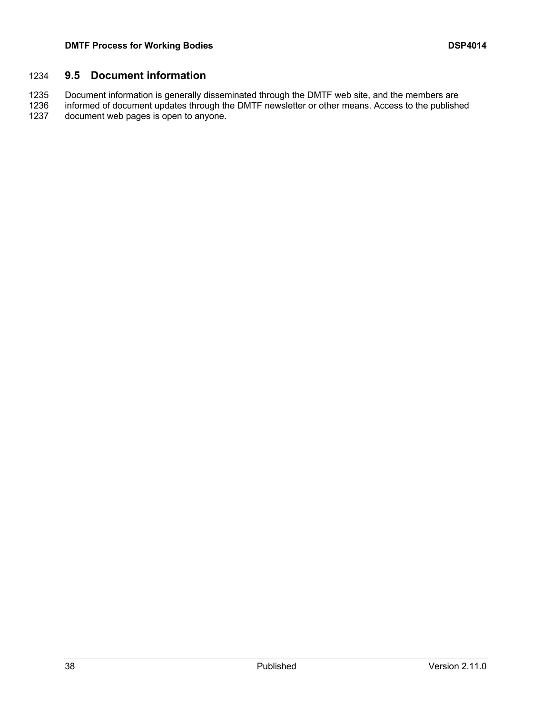### **9.5 Document information**

 Document information is generally disseminated through the DMTF web site, and the members are informed of document updates through the DMTF newsletter or other means. Access to the published document web pages is open to anyone.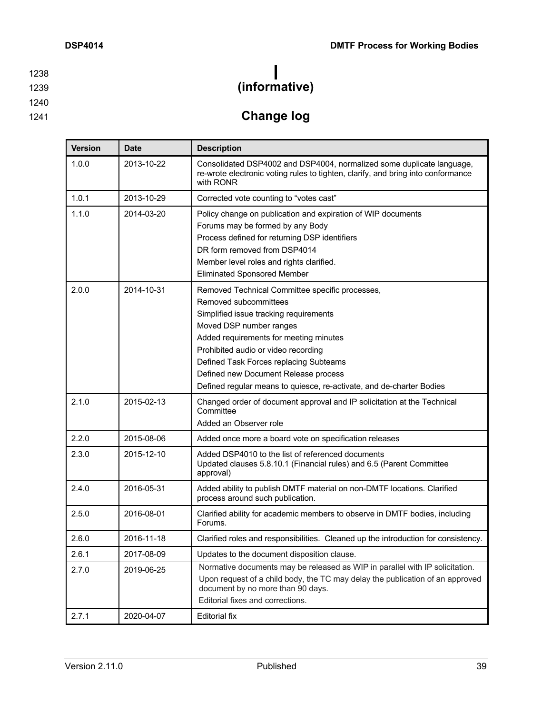1240

1239 **(informative)**

1241 **Change log**

| <b>Version</b> | <b>Date</b> | <b>Description</b>                                                                                                                                                                                                                                                                                                                                                                       |
|----------------|-------------|------------------------------------------------------------------------------------------------------------------------------------------------------------------------------------------------------------------------------------------------------------------------------------------------------------------------------------------------------------------------------------------|
| 1.0.0          | 2013-10-22  | Consolidated DSP4002 and DSP4004, normalized some duplicate language,<br>re-wrote electronic voting rules to tighten, clarify, and bring into conformance<br>with RONR                                                                                                                                                                                                                   |
| 1.0.1          | 2013-10-29  | Corrected vote counting to "votes cast"                                                                                                                                                                                                                                                                                                                                                  |
| 1.1.0          | 2014-03-20  | Policy change on publication and expiration of WIP documents<br>Forums may be formed by any Body<br>Process defined for returning DSP identifiers<br>DR form removed from DSP4014<br>Member level roles and rights clarified.<br><b>Eliminated Sponsored Member</b>                                                                                                                      |
| 2.0.0          | 2014-10-31  | Removed Technical Committee specific processes,<br>Removed subcommittees<br>Simplified issue tracking requirements<br>Moved DSP number ranges<br>Added requirements for meeting minutes<br>Prohibited audio or video recording<br>Defined Task Forces replacing Subteams<br>Defined new Document Release process<br>Defined regular means to quiesce, re-activate, and de-charter Bodies |
| 2.1.0          | 2015-02-13  | Changed order of document approval and IP solicitation at the Technical<br>Committee<br>Added an Observer role                                                                                                                                                                                                                                                                           |
| 2.2.0          | 2015-08-06  | Added once more a board vote on specification releases                                                                                                                                                                                                                                                                                                                                   |
| 2.3.0          | 2015-12-10  | Added DSP4010 to the list of referenced documents<br>Updated clauses 5.8.10.1 (Financial rules) and 6.5 (Parent Committee<br>approval)                                                                                                                                                                                                                                                   |
| 2.4.0          | 2016-05-31  | Added ability to publish DMTF material on non-DMTF locations. Clarified<br>process around such publication.                                                                                                                                                                                                                                                                              |
| 2.5.0          | 2016-08-01  | Clarified ability for academic members to observe in DMTF bodies, including<br>Forums.                                                                                                                                                                                                                                                                                                   |
| 2.6.0          | 2016-11-18  | Clarified roles and responsibilities. Cleaned up the introduction for consistency.                                                                                                                                                                                                                                                                                                       |
| 2.6.1          | 2017-08-09  | Updates to the document disposition clause.                                                                                                                                                                                                                                                                                                                                              |
| 2.7.0          | 2019-06-25  | Normative documents may be released as WIP in parallel with IP solicitation.<br>Upon request of a child body, the TC may delay the publication of an approved<br>document by no more than 90 days.<br>Editorial fixes and corrections.                                                                                                                                                   |
| 2.7.1          | 2020-04-07  | <b>Editorial fix</b>                                                                                                                                                                                                                                                                                                                                                                     |